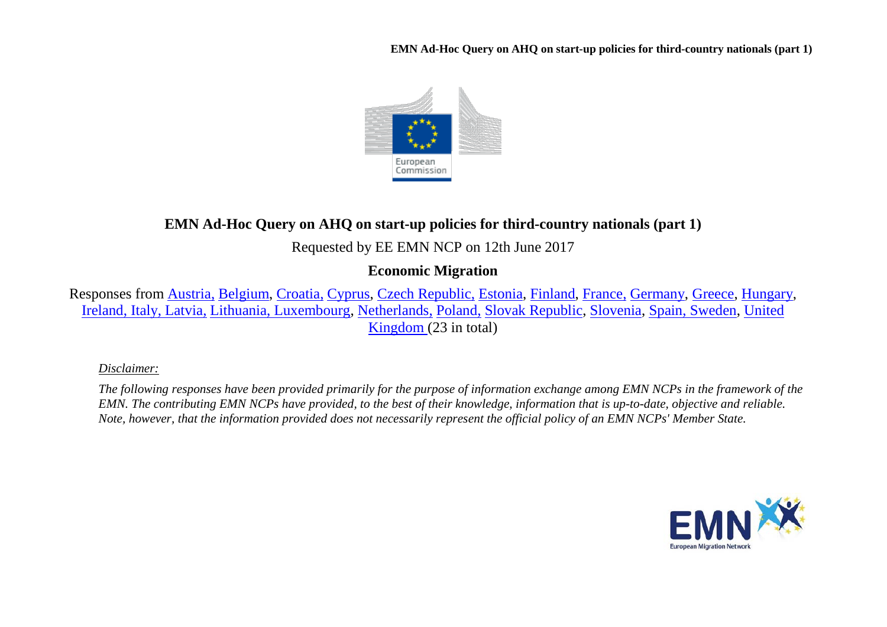**EMN Ad-Hoc Query on AHQ on start-up policies for third-country nationals (part 1)**



# **EMN Ad-Hoc Query on AHQ on start-up policies for third-country nationals (part 1)**

Requested by EE EMN NCP on 12th June 2017

## **Economic Migration**

Responses from [Austria,](#page-1-0) [Belgium,](#page-2-0) [Croatia,](#page-3-0) [Cyprus,](#page-3-1) [Czech Republic,](#page-4-0) [Estonia,](#page-4-1) [Finland,](#page-6-0) [France,](#page-6-1) [Germany,](#page-9-0) [Greece,](#page-9-1) [Hungary,](#page-10-0) [Ireland, Italy,](#page-10-1) [Latvia,](#page-13-0) [Lithuania, Luxembourg,](#page-14-0) [Netherlands,](#page-15-0) [Poland,](#page-15-1) [Slovak Republic,](#page-16-0) [Slovenia,](#page-16-1) [Spain, Sweden,](#page-17-0) [United](#page-19-0)  [Kingdom \(](#page-19-0)23 in total)

*Disclaimer:* 

*The following responses have been provided primarily for the purpose of information exchange among EMN NCPs in the framework of the EMN. The contributing EMN NCPs have provided, to the best of their knowledge, information that is up-to-date, objective and reliable. Note, however, that the information provided does not necessarily represent the official policy of an EMN NCPs' Member State.*

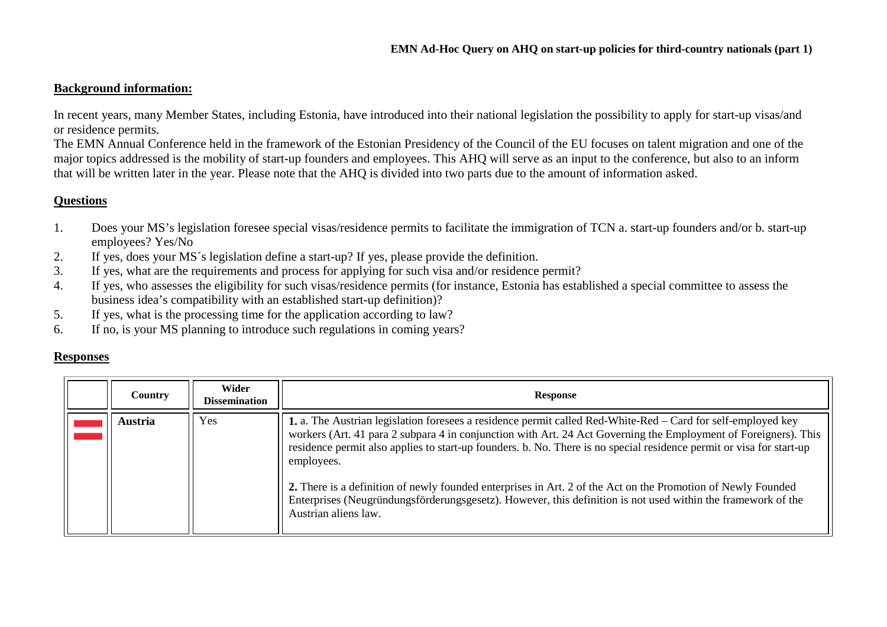#### **Background information:**

In recent years, many Member States, including Estonia, have introduced into their national legislation the possibility to apply for start-up visas/and or residence permits.

The EMN Annual Conference held in the framework of the Estonian Presidency of the Council of the EU focuses on talent migration and one of the major topics addressed is the mobility of start-up founders and employees. This AHQ will serve as an input to the conference, but also to an inform that will be written later in the year. Please note that the AHQ is divided into two parts due to the amount of information asked.

#### **Questions**

- 1. Does your MS's legislation foresee special visas/residence permits to facilitate the immigration of TCN a. start-up founders and/or b. start-up employees? Yes/No
- 2. If yes, does your MS´s legislation define a start-up? If yes, please provide the definition.
- 3. If yes, what are the requirements and process for applying for such visa and/or residence permit?
- 4. If yes, who assesses the eligibility for such visas/residence permits (for instance, Estonia has established a special committee to assess the business idea's compatibility with an established start-up definition)?
- 5. If yes, what is the processing time for the application according to law?
- 6. If no, is your MS planning to introduce such regulations in coming years?

#### **Responses**

<span id="page-1-0"></span>

| Country | Wider<br><b>Dissemination</b> | <b>Response</b>                                                                                                                                                                                                                                                                                                                                                                                                                                                                                                                                                                                                               |  |
|---------|-------------------------------|-------------------------------------------------------------------------------------------------------------------------------------------------------------------------------------------------------------------------------------------------------------------------------------------------------------------------------------------------------------------------------------------------------------------------------------------------------------------------------------------------------------------------------------------------------------------------------------------------------------------------------|--|
| Austria | Yes                           | 1. a. The Austrian legislation foresees a residence permit called Red-White-Red - Card for self-employed key<br>workers (Art. 41 para 2 subpara 4 in conjunction with Art. 24 Act Governing the Employment of Foreigners). This<br>residence permit also applies to start-up founders. b. No. There is no special residence permit or visa for start-up<br>employees.<br>2. There is a definition of newly founded enterprises in Art. 2 of the Act on the Promotion of Newly Founded<br>Enterprises (Neugründungsförderungsgesetz). However, this definition is not used within the framework of the<br>Austrian aliens law. |  |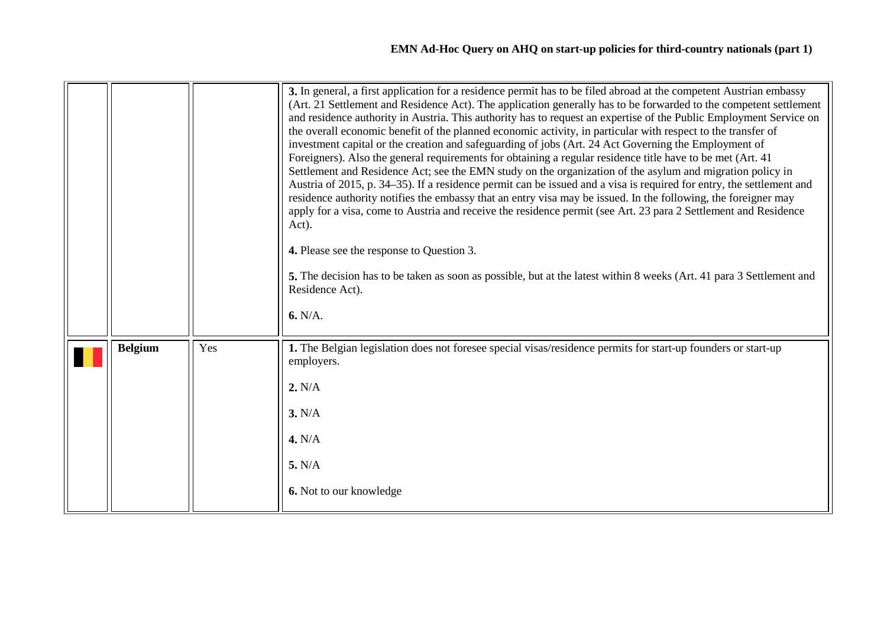<span id="page-2-0"></span>

|                |     | 3. In general, a first application for a residence permit has to be filed abroad at the competent Austrian embassy<br>(Art. 21 Settlement and Residence Act). The application generally has to be forwarded to the competent settlement<br>and residence authority in Austria. This authority has to request an expertise of the Public Employment Service on<br>the overall economic benefit of the planned economic activity, in particular with respect to the transfer of<br>investment capital or the creation and safeguarding of jobs (Art. 24 Act Governing the Employment of<br>Foreigners). Also the general requirements for obtaining a regular residence title have to be met (Art. 41)<br>Settlement and Residence Act; see the EMN study on the organization of the asylum and migration policy in<br>Austria of 2015, p. 34–35). If a residence permit can be issued and a visa is required for entry, the settlement and<br>residence authority notifies the embassy that an entry visa may be issued. In the following, the foreigner may<br>apply for a visa, come to Austria and receive the residence permit (see Art. 23 para 2 Settlement and Residence<br>Act).<br>4. Please see the response to Question 3.<br>5. The decision has to be taken as soon as possible, but at the latest within 8 weeks (Art. 41 para 3 Settlement and<br>Residence Act).<br>6. N/A. |  |
|----------------|-----|--------------------------------------------------------------------------------------------------------------------------------------------------------------------------------------------------------------------------------------------------------------------------------------------------------------------------------------------------------------------------------------------------------------------------------------------------------------------------------------------------------------------------------------------------------------------------------------------------------------------------------------------------------------------------------------------------------------------------------------------------------------------------------------------------------------------------------------------------------------------------------------------------------------------------------------------------------------------------------------------------------------------------------------------------------------------------------------------------------------------------------------------------------------------------------------------------------------------------------------------------------------------------------------------------------------------------------------------------------------------------------------------|--|
| <b>Belgium</b> | Yes | 1. The Belgian legislation does not foresee special visas/residence permits for start-up founders or start-up<br>employers.<br>2. N/A<br>3. N/A<br>4. N/A<br>5. N/A<br>6. Not to our knowledge                                                                                                                                                                                                                                                                                                                                                                                                                                                                                                                                                                                                                                                                                                                                                                                                                                                                                                                                                                                                                                                                                                                                                                                             |  |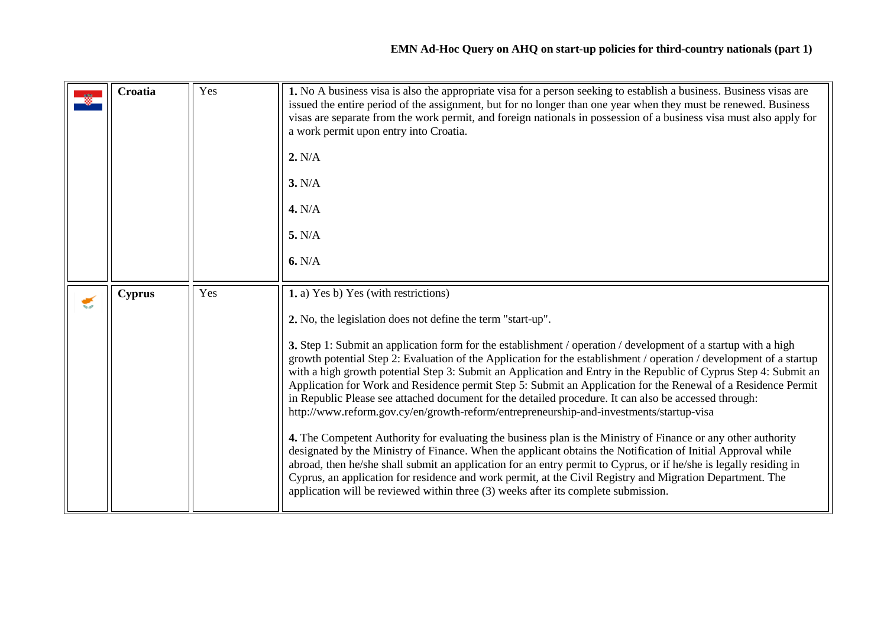<span id="page-3-1"></span><span id="page-3-0"></span>

|   | Croatia       | Yes | 1. No A business visa is also the appropriate visa for a person seeking to establish a business. Business visas are<br>issued the entire period of the assignment, but for no longer than one year when they must be renewed. Business<br>visas are separate from the work permit, and foreign nationals in possession of a business visa must also apply for<br>a work permit upon entry into Croatia.<br>2. N/A<br>3. N/A<br>4. N/A<br>5. N/A<br>6. N/A                                                                                                                                                                                                                                                                                                                                                                                                                                                                                                                                                                                                                                                                                                                                                                                                                                                                                       |  |
|---|---------------|-----|-------------------------------------------------------------------------------------------------------------------------------------------------------------------------------------------------------------------------------------------------------------------------------------------------------------------------------------------------------------------------------------------------------------------------------------------------------------------------------------------------------------------------------------------------------------------------------------------------------------------------------------------------------------------------------------------------------------------------------------------------------------------------------------------------------------------------------------------------------------------------------------------------------------------------------------------------------------------------------------------------------------------------------------------------------------------------------------------------------------------------------------------------------------------------------------------------------------------------------------------------------------------------------------------------------------------------------------------------|--|
| € | <b>Cyprus</b> | Yes | 1. a) Yes b) Yes (with restrictions)<br>2. No, the legislation does not define the term "start-up".<br>3. Step 1: Submit an application form for the establishment / operation / development of a startup with a high<br>growth potential Step 2: Evaluation of the Application for the establishment / operation / development of a startup<br>with a high growth potential Step 3: Submit an Application and Entry in the Republic of Cyprus Step 4: Submit an<br>Application for Work and Residence permit Step 5: Submit an Application for the Renewal of a Residence Permit<br>in Republic Please see attached document for the detailed procedure. It can also be accessed through:<br>http://www.reform.gov.cy/en/growth-reform/entrepreneurship-and-investments/startup-visa<br>4. The Competent Authority for evaluating the business plan is the Ministry of Finance or any other authority<br>designated by the Ministry of Finance. When the applicant obtains the Notification of Initial Approval while<br>abroad, then he/she shall submit an application for an entry permit to Cyprus, or if he/she is legally residing in<br>Cyprus, an application for residence and work permit, at the Civil Registry and Migration Department. The<br>application will be reviewed within three (3) weeks after its complete submission. |  |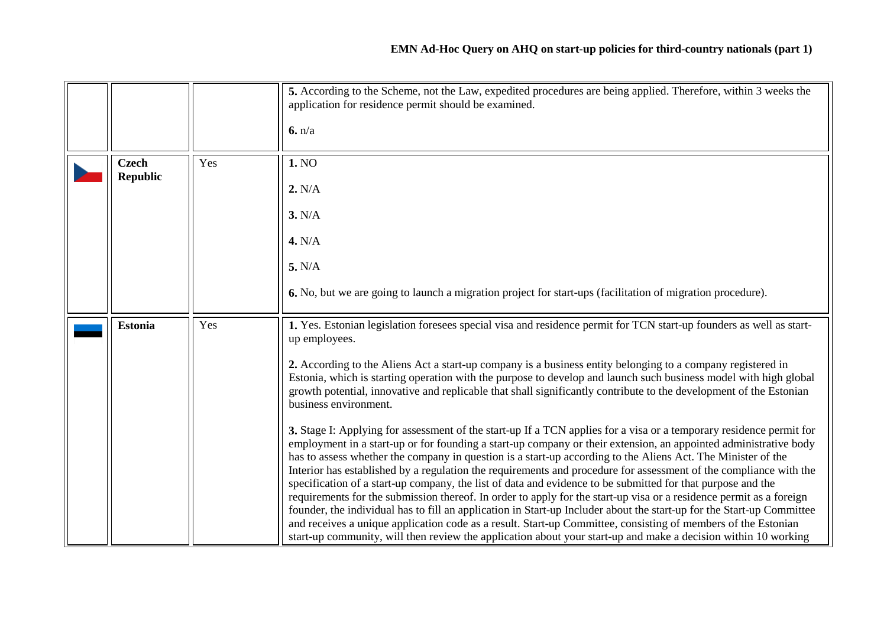<span id="page-4-1"></span><span id="page-4-0"></span>

|                                 |     | 5. According to the Scheme, not the Law, expedited procedures are being applied. Therefore, within 3 weeks the<br>application for residence permit should be examined.<br>6. n/a                                                                                                                                                                                                                                                                                                                                                                                                               |  |
|---------------------------------|-----|------------------------------------------------------------------------------------------------------------------------------------------------------------------------------------------------------------------------------------------------------------------------------------------------------------------------------------------------------------------------------------------------------------------------------------------------------------------------------------------------------------------------------------------------------------------------------------------------|--|
| <b>Czech</b><br><b>Republic</b> | Yes | 1. NO                                                                                                                                                                                                                                                                                                                                                                                                                                                                                                                                                                                          |  |
|                                 |     | 2. N/A                                                                                                                                                                                                                                                                                                                                                                                                                                                                                                                                                                                         |  |
|                                 |     | 3. N/A                                                                                                                                                                                                                                                                                                                                                                                                                                                                                                                                                                                         |  |
|                                 |     | 4. N/A                                                                                                                                                                                                                                                                                                                                                                                                                                                                                                                                                                                         |  |
|                                 |     | 5. N/A                                                                                                                                                                                                                                                                                                                                                                                                                                                                                                                                                                                         |  |
|                                 |     | 6. No, but we are going to launch a migration project for start-ups (facilitation of migration procedure).                                                                                                                                                                                                                                                                                                                                                                                                                                                                                     |  |
| <b>Estonia</b>                  | Yes | 1. Yes. Estonian legislation foresees special visa and residence permit for TCN start-up founders as well as start-<br>up employees.<br>2. According to the Aliens Act a start-up company is a business entity belonging to a company registered in                                                                                                                                                                                                                                                                                                                                            |  |
|                                 |     | Estonia, which is starting operation with the purpose to develop and launch such business model with high global<br>growth potential, innovative and replicable that shall significantly contribute to the development of the Estonian<br>business environment.                                                                                                                                                                                                                                                                                                                                |  |
|                                 |     | 3. Stage I: Applying for assessment of the start-up If a TCN applies for a visa or a temporary residence permit for<br>employment in a start-up or for founding a start-up company or their extension, an appointed administrative body<br>has to assess whether the company in question is a start-up according to the Aliens Act. The Minister of the<br>Interior has established by a regulation the requirements and procedure for assessment of the compliance with the                                                                                                                   |  |
|                                 |     | specification of a start-up company, the list of data and evidence to be submitted for that purpose and the<br>requirements for the submission thereof. In order to apply for the start-up visa or a residence permit as a foreign<br>founder, the individual has to fill an application in Start-up Includer about the start-up for the Start-up Committee<br>and receives a unique application code as a result. Start-up Committee, consisting of members of the Estonian<br>start-up community, will then review the application about your start-up and make a decision within 10 working |  |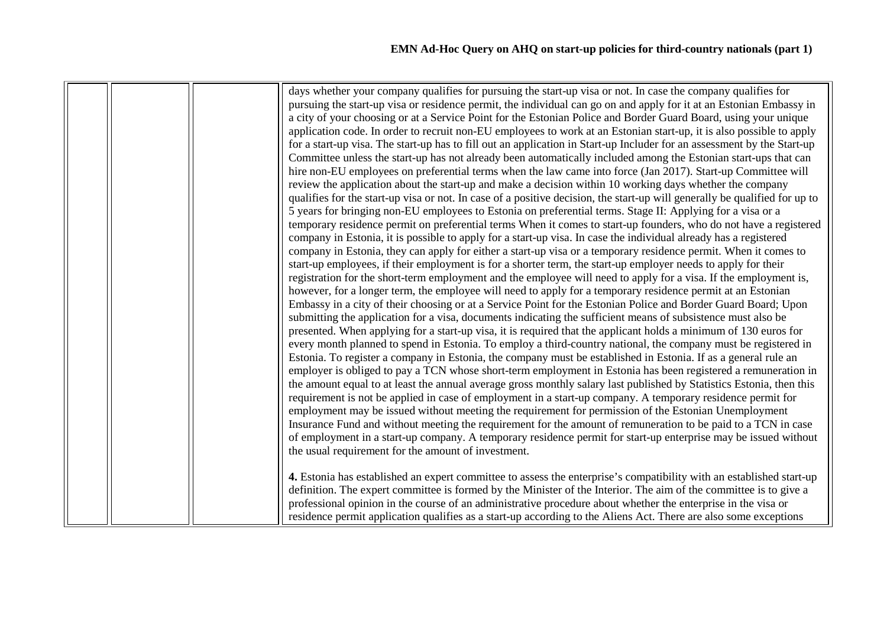| days whether your company qualifies for pursuing the start-up visa or not. In case the company qualifies for<br>pursuing the start-up visa or residence permit, the individual can go on and apply for it at an Estonian Embassy in<br>a city of your choosing or at a Service Point for the Estonian Police and Border Guard Board, using your unique<br>application code. In order to recruit non-EU employees to work at an Estonian start-up, it is also possible to apply<br>for a start-up visa. The start-up has to fill out an application in Start-up Includer for an assessment by the Start-up<br>Committee unless the start-up has not already been automatically included among the Estonian start-ups that can<br>hire non-EU employees on preferential terms when the law came into force (Jan 2017). Start-up Committee will<br>review the application about the start-up and make a decision within 10 working days whether the company<br>qualifies for the start-up visa or not. In case of a positive decision, the start-up will generally be qualified for up to<br>5 years for bringing non-EU employees to Estonia on preferential terms. Stage II: Applying for a visa or a<br>temporary residence permit on preferential terms When it comes to start-up founders, who do not have a registered<br>company in Estonia, it is possible to apply for a start-up visa. In case the individual already has a registered<br>company in Estonia, they can apply for either a start-up visa or a temporary residence permit. When it comes to<br>start-up employees, if their employment is for a shorter term, the start-up employer needs to apply for their<br>registration for the short-term employment and the employee will need to apply for a visa. If the employment is,<br>however, for a longer term, the employee will need to apply for a temporary residence permit at an Estonian<br>Embassy in a city of their choosing or at a Service Point for the Estonian Police and Border Guard Board; Upon<br>submitting the application for a visa, documents indicating the sufficient means of subsistence must also be<br>presented. When applying for a start-up visa, it is required that the applicant holds a minimum of 130 euros for<br>every month planned to spend in Estonia. To employ a third-country national, the company must be registered in<br>Estonia. To register a company in Estonia, the company must be established in Estonia. If as a general rule an<br>employer is obliged to pay a TCN whose short-term employment in Estonia has been registered a remuneration in<br>the amount equal to at least the annual average gross monthly salary last published by Statistics Estonia, then this<br>requirement is not be applied in case of employment in a start-up company. A temporary residence permit for<br>employment may be issued without meeting the requirement for permission of the Estonian Unemployment<br>Insurance Fund and without meeting the requirement for the amount of remuneration to be paid to a TCN in case<br>of employment in a start-up company. A temporary residence permit for start-up enterprise may be issued without<br>the usual requirement for the amount of investment.<br>4. Estonia has established an expert committee to assess the enterprise's compatibility with an established start-up<br>definition. The expert committee is formed by the Minister of the Interior. The aim of the committee is to give a<br>professional opinion in the course of an administrative procedure about whether the enterprise in the visa or |  |                                                                                                                  |  |
|-----------------------------------------------------------------------------------------------------------------------------------------------------------------------------------------------------------------------------------------------------------------------------------------------------------------------------------------------------------------------------------------------------------------------------------------------------------------------------------------------------------------------------------------------------------------------------------------------------------------------------------------------------------------------------------------------------------------------------------------------------------------------------------------------------------------------------------------------------------------------------------------------------------------------------------------------------------------------------------------------------------------------------------------------------------------------------------------------------------------------------------------------------------------------------------------------------------------------------------------------------------------------------------------------------------------------------------------------------------------------------------------------------------------------------------------------------------------------------------------------------------------------------------------------------------------------------------------------------------------------------------------------------------------------------------------------------------------------------------------------------------------------------------------------------------------------------------------------------------------------------------------------------------------------------------------------------------------------------------------------------------------------------------------------------------------------------------------------------------------------------------------------------------------------------------------------------------------------------------------------------------------------------------------------------------------------------------------------------------------------------------------------------------------------------------------------------------------------------------------------------------------------------------------------------------------------------------------------------------------------------------------------------------------------------------------------------------------------------------------------------------------------------------------------------------------------------------------------------------------------------------------------------------------------------------------------------------------------------------------------------------------------------------------------------------------------------------------------------------------------------------------------------------------------------------------------------------------------------------------------------------------------------------------------------------------------------------------------------------------------------------------------------------------------------------------------------------------------------------------------------------------------------------------------------------------------------------------------------------------------------------------|--|------------------------------------------------------------------------------------------------------------------|--|
|                                                                                                                                                                                                                                                                                                                                                                                                                                                                                                                                                                                                                                                                                                                                                                                                                                                                                                                                                                                                                                                                                                                                                                                                                                                                                                                                                                                                                                                                                                                                                                                                                                                                                                                                                                                                                                                                                                                                                                                                                                                                                                                                                                                                                                                                                                                                                                                                                                                                                                                                                                                                                                                                                                                                                                                                                                                                                                                                                                                                                                                                                                                                                                                                                                                                                                                                                                                                                                                                                                                                                                                                                                         |  |                                                                                                                  |  |
|                                                                                                                                                                                                                                                                                                                                                                                                                                                                                                                                                                                                                                                                                                                                                                                                                                                                                                                                                                                                                                                                                                                                                                                                                                                                                                                                                                                                                                                                                                                                                                                                                                                                                                                                                                                                                                                                                                                                                                                                                                                                                                                                                                                                                                                                                                                                                                                                                                                                                                                                                                                                                                                                                                                                                                                                                                                                                                                                                                                                                                                                                                                                                                                                                                                                                                                                                                                                                                                                                                                                                                                                                                         |  |                                                                                                                  |  |
|                                                                                                                                                                                                                                                                                                                                                                                                                                                                                                                                                                                                                                                                                                                                                                                                                                                                                                                                                                                                                                                                                                                                                                                                                                                                                                                                                                                                                                                                                                                                                                                                                                                                                                                                                                                                                                                                                                                                                                                                                                                                                                                                                                                                                                                                                                                                                                                                                                                                                                                                                                                                                                                                                                                                                                                                                                                                                                                                                                                                                                                                                                                                                                                                                                                                                                                                                                                                                                                                                                                                                                                                                                         |  |                                                                                                                  |  |
|                                                                                                                                                                                                                                                                                                                                                                                                                                                                                                                                                                                                                                                                                                                                                                                                                                                                                                                                                                                                                                                                                                                                                                                                                                                                                                                                                                                                                                                                                                                                                                                                                                                                                                                                                                                                                                                                                                                                                                                                                                                                                                                                                                                                                                                                                                                                                                                                                                                                                                                                                                                                                                                                                                                                                                                                                                                                                                                                                                                                                                                                                                                                                                                                                                                                                                                                                                                                                                                                                                                                                                                                                                         |  |                                                                                                                  |  |
|                                                                                                                                                                                                                                                                                                                                                                                                                                                                                                                                                                                                                                                                                                                                                                                                                                                                                                                                                                                                                                                                                                                                                                                                                                                                                                                                                                                                                                                                                                                                                                                                                                                                                                                                                                                                                                                                                                                                                                                                                                                                                                                                                                                                                                                                                                                                                                                                                                                                                                                                                                                                                                                                                                                                                                                                                                                                                                                                                                                                                                                                                                                                                                                                                                                                                                                                                                                                                                                                                                                                                                                                                                         |  |                                                                                                                  |  |
|                                                                                                                                                                                                                                                                                                                                                                                                                                                                                                                                                                                                                                                                                                                                                                                                                                                                                                                                                                                                                                                                                                                                                                                                                                                                                                                                                                                                                                                                                                                                                                                                                                                                                                                                                                                                                                                                                                                                                                                                                                                                                                                                                                                                                                                                                                                                                                                                                                                                                                                                                                                                                                                                                                                                                                                                                                                                                                                                                                                                                                                                                                                                                                                                                                                                                                                                                                                                                                                                                                                                                                                                                                         |  |                                                                                                                  |  |
|                                                                                                                                                                                                                                                                                                                                                                                                                                                                                                                                                                                                                                                                                                                                                                                                                                                                                                                                                                                                                                                                                                                                                                                                                                                                                                                                                                                                                                                                                                                                                                                                                                                                                                                                                                                                                                                                                                                                                                                                                                                                                                                                                                                                                                                                                                                                                                                                                                                                                                                                                                                                                                                                                                                                                                                                                                                                                                                                                                                                                                                                                                                                                                                                                                                                                                                                                                                                                                                                                                                                                                                                                                         |  |                                                                                                                  |  |
|                                                                                                                                                                                                                                                                                                                                                                                                                                                                                                                                                                                                                                                                                                                                                                                                                                                                                                                                                                                                                                                                                                                                                                                                                                                                                                                                                                                                                                                                                                                                                                                                                                                                                                                                                                                                                                                                                                                                                                                                                                                                                                                                                                                                                                                                                                                                                                                                                                                                                                                                                                                                                                                                                                                                                                                                                                                                                                                                                                                                                                                                                                                                                                                                                                                                                                                                                                                                                                                                                                                                                                                                                                         |  |                                                                                                                  |  |
|                                                                                                                                                                                                                                                                                                                                                                                                                                                                                                                                                                                                                                                                                                                                                                                                                                                                                                                                                                                                                                                                                                                                                                                                                                                                                                                                                                                                                                                                                                                                                                                                                                                                                                                                                                                                                                                                                                                                                                                                                                                                                                                                                                                                                                                                                                                                                                                                                                                                                                                                                                                                                                                                                                                                                                                                                                                                                                                                                                                                                                                                                                                                                                                                                                                                                                                                                                                                                                                                                                                                                                                                                                         |  |                                                                                                                  |  |
|                                                                                                                                                                                                                                                                                                                                                                                                                                                                                                                                                                                                                                                                                                                                                                                                                                                                                                                                                                                                                                                                                                                                                                                                                                                                                                                                                                                                                                                                                                                                                                                                                                                                                                                                                                                                                                                                                                                                                                                                                                                                                                                                                                                                                                                                                                                                                                                                                                                                                                                                                                                                                                                                                                                                                                                                                                                                                                                                                                                                                                                                                                                                                                                                                                                                                                                                                                                                                                                                                                                                                                                                                                         |  |                                                                                                                  |  |
|                                                                                                                                                                                                                                                                                                                                                                                                                                                                                                                                                                                                                                                                                                                                                                                                                                                                                                                                                                                                                                                                                                                                                                                                                                                                                                                                                                                                                                                                                                                                                                                                                                                                                                                                                                                                                                                                                                                                                                                                                                                                                                                                                                                                                                                                                                                                                                                                                                                                                                                                                                                                                                                                                                                                                                                                                                                                                                                                                                                                                                                                                                                                                                                                                                                                                                                                                                                                                                                                                                                                                                                                                                         |  |                                                                                                                  |  |
|                                                                                                                                                                                                                                                                                                                                                                                                                                                                                                                                                                                                                                                                                                                                                                                                                                                                                                                                                                                                                                                                                                                                                                                                                                                                                                                                                                                                                                                                                                                                                                                                                                                                                                                                                                                                                                                                                                                                                                                                                                                                                                                                                                                                                                                                                                                                                                                                                                                                                                                                                                                                                                                                                                                                                                                                                                                                                                                                                                                                                                                                                                                                                                                                                                                                                                                                                                                                                                                                                                                                                                                                                                         |  |                                                                                                                  |  |
|                                                                                                                                                                                                                                                                                                                                                                                                                                                                                                                                                                                                                                                                                                                                                                                                                                                                                                                                                                                                                                                                                                                                                                                                                                                                                                                                                                                                                                                                                                                                                                                                                                                                                                                                                                                                                                                                                                                                                                                                                                                                                                                                                                                                                                                                                                                                                                                                                                                                                                                                                                                                                                                                                                                                                                                                                                                                                                                                                                                                                                                                                                                                                                                                                                                                                                                                                                                                                                                                                                                                                                                                                                         |  |                                                                                                                  |  |
|                                                                                                                                                                                                                                                                                                                                                                                                                                                                                                                                                                                                                                                                                                                                                                                                                                                                                                                                                                                                                                                                                                                                                                                                                                                                                                                                                                                                                                                                                                                                                                                                                                                                                                                                                                                                                                                                                                                                                                                                                                                                                                                                                                                                                                                                                                                                                                                                                                                                                                                                                                                                                                                                                                                                                                                                                                                                                                                                                                                                                                                                                                                                                                                                                                                                                                                                                                                                                                                                                                                                                                                                                                         |  |                                                                                                                  |  |
|                                                                                                                                                                                                                                                                                                                                                                                                                                                                                                                                                                                                                                                                                                                                                                                                                                                                                                                                                                                                                                                                                                                                                                                                                                                                                                                                                                                                                                                                                                                                                                                                                                                                                                                                                                                                                                                                                                                                                                                                                                                                                                                                                                                                                                                                                                                                                                                                                                                                                                                                                                                                                                                                                                                                                                                                                                                                                                                                                                                                                                                                                                                                                                                                                                                                                                                                                                                                                                                                                                                                                                                                                                         |  |                                                                                                                  |  |
|                                                                                                                                                                                                                                                                                                                                                                                                                                                                                                                                                                                                                                                                                                                                                                                                                                                                                                                                                                                                                                                                                                                                                                                                                                                                                                                                                                                                                                                                                                                                                                                                                                                                                                                                                                                                                                                                                                                                                                                                                                                                                                                                                                                                                                                                                                                                                                                                                                                                                                                                                                                                                                                                                                                                                                                                                                                                                                                                                                                                                                                                                                                                                                                                                                                                                                                                                                                                                                                                                                                                                                                                                                         |  |                                                                                                                  |  |
|                                                                                                                                                                                                                                                                                                                                                                                                                                                                                                                                                                                                                                                                                                                                                                                                                                                                                                                                                                                                                                                                                                                                                                                                                                                                                                                                                                                                                                                                                                                                                                                                                                                                                                                                                                                                                                                                                                                                                                                                                                                                                                                                                                                                                                                                                                                                                                                                                                                                                                                                                                                                                                                                                                                                                                                                                                                                                                                                                                                                                                                                                                                                                                                                                                                                                                                                                                                                                                                                                                                                                                                                                                         |  |                                                                                                                  |  |
|                                                                                                                                                                                                                                                                                                                                                                                                                                                                                                                                                                                                                                                                                                                                                                                                                                                                                                                                                                                                                                                                                                                                                                                                                                                                                                                                                                                                                                                                                                                                                                                                                                                                                                                                                                                                                                                                                                                                                                                                                                                                                                                                                                                                                                                                                                                                                                                                                                                                                                                                                                                                                                                                                                                                                                                                                                                                                                                                                                                                                                                                                                                                                                                                                                                                                                                                                                                                                                                                                                                                                                                                                                         |  |                                                                                                                  |  |
|                                                                                                                                                                                                                                                                                                                                                                                                                                                                                                                                                                                                                                                                                                                                                                                                                                                                                                                                                                                                                                                                                                                                                                                                                                                                                                                                                                                                                                                                                                                                                                                                                                                                                                                                                                                                                                                                                                                                                                                                                                                                                                                                                                                                                                                                                                                                                                                                                                                                                                                                                                                                                                                                                                                                                                                                                                                                                                                                                                                                                                                                                                                                                                                                                                                                                                                                                                                                                                                                                                                                                                                                                                         |  |                                                                                                                  |  |
|                                                                                                                                                                                                                                                                                                                                                                                                                                                                                                                                                                                                                                                                                                                                                                                                                                                                                                                                                                                                                                                                                                                                                                                                                                                                                                                                                                                                                                                                                                                                                                                                                                                                                                                                                                                                                                                                                                                                                                                                                                                                                                                                                                                                                                                                                                                                                                                                                                                                                                                                                                                                                                                                                                                                                                                                                                                                                                                                                                                                                                                                                                                                                                                                                                                                                                                                                                                                                                                                                                                                                                                                                                         |  |                                                                                                                  |  |
|                                                                                                                                                                                                                                                                                                                                                                                                                                                                                                                                                                                                                                                                                                                                                                                                                                                                                                                                                                                                                                                                                                                                                                                                                                                                                                                                                                                                                                                                                                                                                                                                                                                                                                                                                                                                                                                                                                                                                                                                                                                                                                                                                                                                                                                                                                                                                                                                                                                                                                                                                                                                                                                                                                                                                                                                                                                                                                                                                                                                                                                                                                                                                                                                                                                                                                                                                                                                                                                                                                                                                                                                                                         |  |                                                                                                                  |  |
|                                                                                                                                                                                                                                                                                                                                                                                                                                                                                                                                                                                                                                                                                                                                                                                                                                                                                                                                                                                                                                                                                                                                                                                                                                                                                                                                                                                                                                                                                                                                                                                                                                                                                                                                                                                                                                                                                                                                                                                                                                                                                                                                                                                                                                                                                                                                                                                                                                                                                                                                                                                                                                                                                                                                                                                                                                                                                                                                                                                                                                                                                                                                                                                                                                                                                                                                                                                                                                                                                                                                                                                                                                         |  |                                                                                                                  |  |
|                                                                                                                                                                                                                                                                                                                                                                                                                                                                                                                                                                                                                                                                                                                                                                                                                                                                                                                                                                                                                                                                                                                                                                                                                                                                                                                                                                                                                                                                                                                                                                                                                                                                                                                                                                                                                                                                                                                                                                                                                                                                                                                                                                                                                                                                                                                                                                                                                                                                                                                                                                                                                                                                                                                                                                                                                                                                                                                                                                                                                                                                                                                                                                                                                                                                                                                                                                                                                                                                                                                                                                                                                                         |  |                                                                                                                  |  |
|                                                                                                                                                                                                                                                                                                                                                                                                                                                                                                                                                                                                                                                                                                                                                                                                                                                                                                                                                                                                                                                                                                                                                                                                                                                                                                                                                                                                                                                                                                                                                                                                                                                                                                                                                                                                                                                                                                                                                                                                                                                                                                                                                                                                                                                                                                                                                                                                                                                                                                                                                                                                                                                                                                                                                                                                                                                                                                                                                                                                                                                                                                                                                                                                                                                                                                                                                                                                                                                                                                                                                                                                                                         |  |                                                                                                                  |  |
|                                                                                                                                                                                                                                                                                                                                                                                                                                                                                                                                                                                                                                                                                                                                                                                                                                                                                                                                                                                                                                                                                                                                                                                                                                                                                                                                                                                                                                                                                                                                                                                                                                                                                                                                                                                                                                                                                                                                                                                                                                                                                                                                                                                                                                                                                                                                                                                                                                                                                                                                                                                                                                                                                                                                                                                                                                                                                                                                                                                                                                                                                                                                                                                                                                                                                                                                                                                                                                                                                                                                                                                                                                         |  |                                                                                                                  |  |
|                                                                                                                                                                                                                                                                                                                                                                                                                                                                                                                                                                                                                                                                                                                                                                                                                                                                                                                                                                                                                                                                                                                                                                                                                                                                                                                                                                                                                                                                                                                                                                                                                                                                                                                                                                                                                                                                                                                                                                                                                                                                                                                                                                                                                                                                                                                                                                                                                                                                                                                                                                                                                                                                                                                                                                                                                                                                                                                                                                                                                                                                                                                                                                                                                                                                                                                                                                                                                                                                                                                                                                                                                                         |  |                                                                                                                  |  |
|                                                                                                                                                                                                                                                                                                                                                                                                                                                                                                                                                                                                                                                                                                                                                                                                                                                                                                                                                                                                                                                                                                                                                                                                                                                                                                                                                                                                                                                                                                                                                                                                                                                                                                                                                                                                                                                                                                                                                                                                                                                                                                                                                                                                                                                                                                                                                                                                                                                                                                                                                                                                                                                                                                                                                                                                                                                                                                                                                                                                                                                                                                                                                                                                                                                                                                                                                                                                                                                                                                                                                                                                                                         |  |                                                                                                                  |  |
|                                                                                                                                                                                                                                                                                                                                                                                                                                                                                                                                                                                                                                                                                                                                                                                                                                                                                                                                                                                                                                                                                                                                                                                                                                                                                                                                                                                                                                                                                                                                                                                                                                                                                                                                                                                                                                                                                                                                                                                                                                                                                                                                                                                                                                                                                                                                                                                                                                                                                                                                                                                                                                                                                                                                                                                                                                                                                                                                                                                                                                                                                                                                                                                                                                                                                                                                                                                                                                                                                                                                                                                                                                         |  |                                                                                                                  |  |
|                                                                                                                                                                                                                                                                                                                                                                                                                                                                                                                                                                                                                                                                                                                                                                                                                                                                                                                                                                                                                                                                                                                                                                                                                                                                                                                                                                                                                                                                                                                                                                                                                                                                                                                                                                                                                                                                                                                                                                                                                                                                                                                                                                                                                                                                                                                                                                                                                                                                                                                                                                                                                                                                                                                                                                                                                                                                                                                                                                                                                                                                                                                                                                                                                                                                                                                                                                                                                                                                                                                                                                                                                                         |  |                                                                                                                  |  |
|                                                                                                                                                                                                                                                                                                                                                                                                                                                                                                                                                                                                                                                                                                                                                                                                                                                                                                                                                                                                                                                                                                                                                                                                                                                                                                                                                                                                                                                                                                                                                                                                                                                                                                                                                                                                                                                                                                                                                                                                                                                                                                                                                                                                                                                                                                                                                                                                                                                                                                                                                                                                                                                                                                                                                                                                                                                                                                                                                                                                                                                                                                                                                                                                                                                                                                                                                                                                                                                                                                                                                                                                                                         |  |                                                                                                                  |  |
|                                                                                                                                                                                                                                                                                                                                                                                                                                                                                                                                                                                                                                                                                                                                                                                                                                                                                                                                                                                                                                                                                                                                                                                                                                                                                                                                                                                                                                                                                                                                                                                                                                                                                                                                                                                                                                                                                                                                                                                                                                                                                                                                                                                                                                                                                                                                                                                                                                                                                                                                                                                                                                                                                                                                                                                                                                                                                                                                                                                                                                                                                                                                                                                                                                                                                                                                                                                                                                                                                                                                                                                                                                         |  |                                                                                                                  |  |
|                                                                                                                                                                                                                                                                                                                                                                                                                                                                                                                                                                                                                                                                                                                                                                                                                                                                                                                                                                                                                                                                                                                                                                                                                                                                                                                                                                                                                                                                                                                                                                                                                                                                                                                                                                                                                                                                                                                                                                                                                                                                                                                                                                                                                                                                                                                                                                                                                                                                                                                                                                                                                                                                                                                                                                                                                                                                                                                                                                                                                                                                                                                                                                                                                                                                                                                                                                                                                                                                                                                                                                                                                                         |  | residence permit application qualifies as a start-up according to the Aliens Act. There are also some exceptions |  |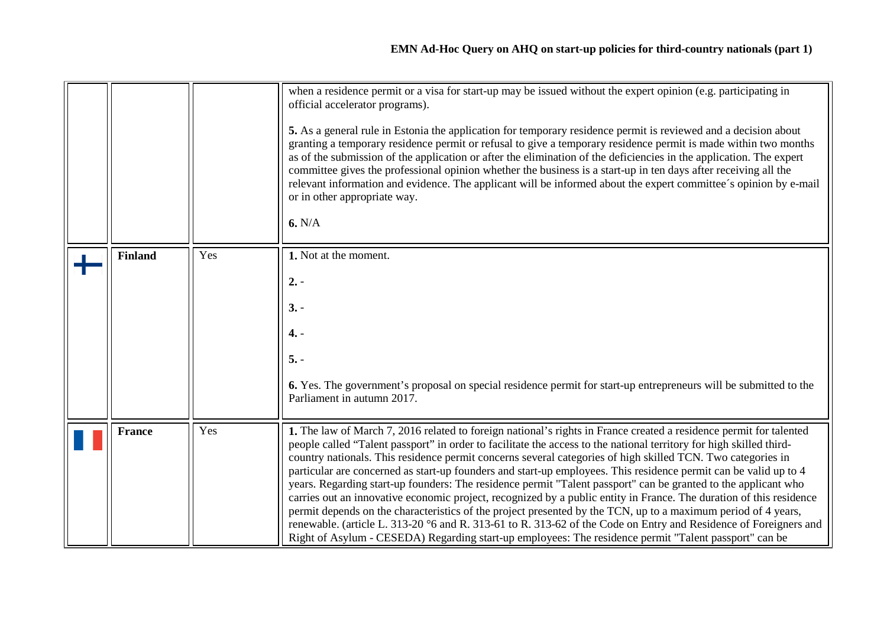<span id="page-6-1"></span><span id="page-6-0"></span>

|                |     | when a residence permit or a visa for start-up may be issued without the expert opinion (e.g. participating in<br>official accelerator programs).<br>5. As a general rule in Estonia the application for temporary residence permit is reviewed and a decision about<br>granting a temporary residence permit or refusal to give a temporary residence permit is made within two months<br>as of the submission of the application or after the elimination of the deficiencies in the application. The expert<br>committee gives the professional opinion whether the business is a start-up in ten days after receiving all the<br>relevant information and evidence. The applicant will be informed about the expert committee's opinion by e-mail<br>or in other appropriate way.<br>6. N/A                                                                                                                                                                                                                                                                     |  |
|----------------|-----|---------------------------------------------------------------------------------------------------------------------------------------------------------------------------------------------------------------------------------------------------------------------------------------------------------------------------------------------------------------------------------------------------------------------------------------------------------------------------------------------------------------------------------------------------------------------------------------------------------------------------------------------------------------------------------------------------------------------------------------------------------------------------------------------------------------------------------------------------------------------------------------------------------------------------------------------------------------------------------------------------------------------------------------------------------------------|--|
| <b>Finland</b> | Yes | 1. Not at the moment.<br>$2. -$<br>$3. -$<br>$4. -$<br>$5. -$<br>6. Yes. The government's proposal on special residence permit for start-up entrepreneurs will be submitted to the<br>Parliament in autumn 2017.                                                                                                                                                                                                                                                                                                                                                                                                                                                                                                                                                                                                                                                                                                                                                                                                                                                    |  |
| <b>France</b>  | Yes | 1. The law of March 7, 2016 related to foreign national's rights in France created a residence permit for talented<br>people called "Talent passport" in order to facilitate the access to the national territory for high skilled third-<br>country nationals. This residence permit concerns several categories of high skilled TCN. Two categories in<br>particular are concerned as start-up founders and start-up employees. This residence permit can be valid up to 4<br>years. Regarding start-up founders: The residence permit "Talent passport" can be granted to the applicant who<br>carries out an innovative economic project, recognized by a public entity in France. The duration of this residence<br>permit depends on the characteristics of the project presented by the TCN, up to a maximum period of 4 years,<br>renewable. (article L. 313-20 °6 and R. 313-61 to R. 313-62 of the Code on Entry and Residence of Foreigners and<br>Right of Asylum - CESEDA) Regarding start-up employees: The residence permit "Talent passport" can be |  |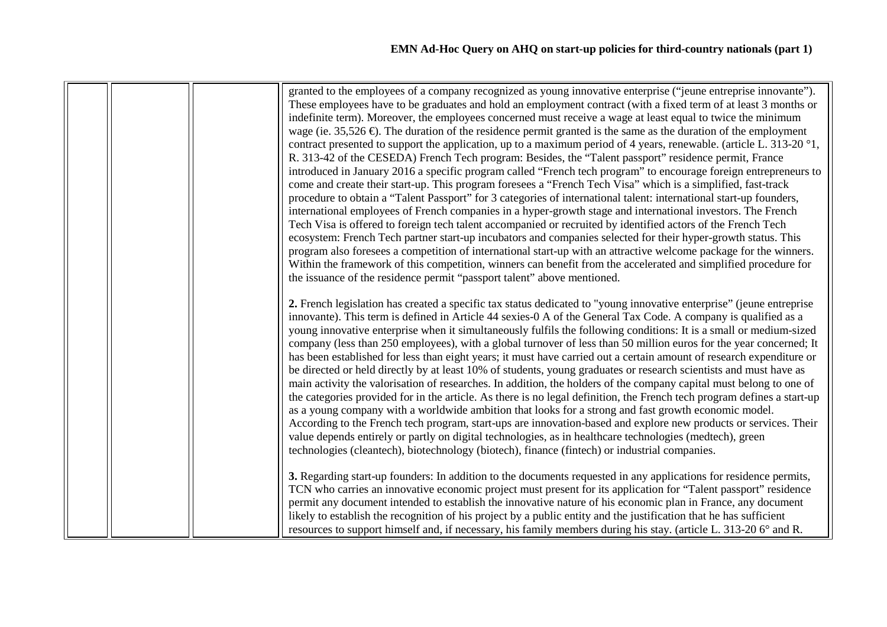|  |  | granted to the employees of a company recognized as young innovative enterprise ("jeune entreprise innovante").<br>These employees have to be graduates and hold an employment contract (with a fixed term of at least 3 months or<br>indefinite term). Moreover, the employees concerned must receive a wage at least equal to twice the minimum<br>wage (ie. 35,526 $\bigoplus$ ). The duration of the residence permit granted is the same as the duration of the employment<br>contract presented to support the application, up to a maximum period of 4 years, renewable. (article L. 313-20 $\degree$ 1,<br>R. 313-42 of the CESEDA) French Tech program: Besides, the "Talent passport" residence permit, France<br>introduced in January 2016 a specific program called "French tech program" to encourage foreign entrepreneurs to<br>come and create their start-up. This program foresees a "French Tech Visa" which is a simplified, fast-track<br>procedure to obtain a "Talent Passport" for 3 categories of international talent: international start-up founders,<br>international employees of French companies in a hyper-growth stage and international investors. The French<br>Tech Visa is offered to foreign tech talent accompanied or recruited by identified actors of the French Tech<br>ecosystem: French Tech partner start-up incubators and companies selected for their hyper-growth status. This<br>program also foresees a competition of international start-up with an attractive welcome package for the winners.<br>Within the framework of this competition, winners can benefit from the accelerated and simplified procedure for<br>the issuance of the residence permit "passport talent" above mentioned. |
|--|--|-------------------------------------------------------------------------------------------------------------------------------------------------------------------------------------------------------------------------------------------------------------------------------------------------------------------------------------------------------------------------------------------------------------------------------------------------------------------------------------------------------------------------------------------------------------------------------------------------------------------------------------------------------------------------------------------------------------------------------------------------------------------------------------------------------------------------------------------------------------------------------------------------------------------------------------------------------------------------------------------------------------------------------------------------------------------------------------------------------------------------------------------------------------------------------------------------------------------------------------------------------------------------------------------------------------------------------------------------------------------------------------------------------------------------------------------------------------------------------------------------------------------------------------------------------------------------------------------------------------------------------------------------------------------------------------------------------------------------------------------------------|
|  |  | 2. French legislation has created a specific tax status dedicated to "young innovative enterprise" (jeune entreprise<br>innovante). This term is defined in Article 44 sexies-0 A of the General Tax Code. A company is qualified as a<br>young innovative enterprise when it simultaneously fulfils the following conditions: It is a small or medium-sized<br>company (less than 250 employees), with a global turnover of less than 50 million euros for the year concerned; It<br>has been established for less than eight years; it must have carried out a certain amount of research expenditure or<br>be directed or held directly by at least 10% of students, young graduates or research scientists and must have as<br>main activity the valorisation of researches. In addition, the holders of the company capital must belong to one of<br>the categories provided for in the article. As there is no legal definition, the French tech program defines a start-up<br>as a young company with a worldwide ambition that looks for a strong and fast growth economic model.<br>According to the French tech program, start-ups are innovation-based and explore new products or services. Their<br>value depends entirely or partly on digital technologies, as in healthcare technologies (medtech), green<br>technologies (cleantech), biotechnology (biotech), finance (fintech) or industrial companies.                                                                                                                                                                                                                                                                                                                            |
|  |  | 3. Regarding start-up founders: In addition to the documents requested in any applications for residence permits,<br>TCN who carries an innovative economic project must present for its application for "Talent passport" residence<br>permit any document intended to establish the innovative nature of his economic plan in France, any document<br>likely to establish the recognition of his project by a public entity and the justification that he has sufficient<br>resources to support himself and, if necessary, his family members during his stay. (article L. 313-20 6° and R.                                                                                                                                                                                                                                                                                                                                                                                                                                                                                                                                                                                                                                                                                                                                                                                                                                                                                                                                                                                                                                                                                                                                                        |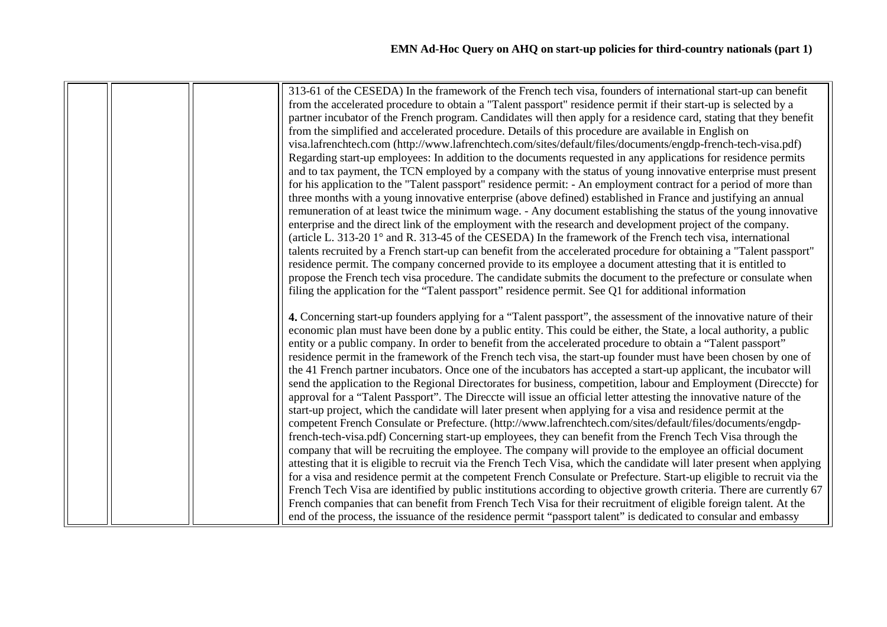|  | 313-61 of the CESEDA) In the framework of the French tech visa, founders of international start-up can benefit          |  |  |
|--|-------------------------------------------------------------------------------------------------------------------------|--|--|
|  | from the accelerated procedure to obtain a "Talent passport" residence permit if their start-up is selected by a        |  |  |
|  | partner incubator of the French program. Candidates will then apply for a residence card, stating that they benefit     |  |  |
|  | from the simplified and accelerated procedure. Details of this procedure are available in English on                    |  |  |
|  | visa.lafrenchtech.com (http://www.lafrenchtech.com/sites/default/files/documents/engdp-french-tech-visa.pdf)            |  |  |
|  | Regarding start-up employees: In addition to the documents requested in any applications for residence permits          |  |  |
|  | and to tax payment, the TCN employed by a company with the status of young innovative enterprise must present           |  |  |
|  | for his application to the "Talent passport" residence permit: - An employment contract for a period of more than       |  |  |
|  | three months with a young innovative enterprise (above defined) established in France and justifying an annual          |  |  |
|  | remuneration of at least twice the minimum wage. - Any document establishing the status of the young innovative         |  |  |
|  | enterprise and the direct link of the employment with the research and development project of the company.              |  |  |
|  |                                                                                                                         |  |  |
|  | (article L. 313-20 $1^{\circ}$ and R. 313-45 of the CESEDA) In the framework of the French tech visa, international     |  |  |
|  | talents recruited by a French start-up can benefit from the accelerated procedure for obtaining a "Talent passport"     |  |  |
|  | residence permit. The company concerned provide to its employee a document attesting that it is entitled to             |  |  |
|  | propose the French tech visa procedure. The candidate submits the document to the prefecture or consulate when          |  |  |
|  | filing the application for the "Talent passport" residence permit. See Q1 for additional information                    |  |  |
|  | 4. Concerning start-up founders applying for a "Talent passport", the assessment of the innovative nature of their      |  |  |
|  | economic plan must have been done by a public entity. This could be either, the State, a local authority, a public      |  |  |
|  | entity or a public company. In order to benefit from the accelerated procedure to obtain a "Talent passport"            |  |  |
|  | residence permit in the framework of the French tech visa, the start-up founder must have been chosen by one of         |  |  |
|  |                                                                                                                         |  |  |
|  | the 41 French partner incubators. Once one of the incubators has accepted a start-up applicant, the incubator will      |  |  |
|  | send the application to the Regional Directorates for business, competition, labour and Employment (Directe) for        |  |  |
|  | approval for a "Talent Passport". The Direccte will issue an official letter attesting the innovative nature of the     |  |  |
|  | start-up project, which the candidate will later present when applying for a visa and residence permit at the           |  |  |
|  | competent French Consulate or Prefecture. (http://www.lafrenchtech.com/sites/default/files/documents/engdp-             |  |  |
|  | french-tech-visa.pdf) Concerning start-up employees, they can benefit from the French Tech Visa through the             |  |  |
|  | company that will be recruiting the employee. The company will provide to the employee an official document             |  |  |
|  | attesting that it is eligible to recruit via the French Tech Visa, which the candidate will later present when applying |  |  |
|  | for a visa and residence permit at the competent French Consulate or Prefecture. Start-up eligible to recruit via the   |  |  |
|  | French Tech Visa are identified by public institutions according to objective growth criteria. There are currently 67   |  |  |
|  | French companies that can benefit from French Tech Visa for their recruitment of eligible foreign talent. At the        |  |  |
|  | end of the process, the issuance of the residence permit "passport talent" is dedicated to consular and embassy         |  |  |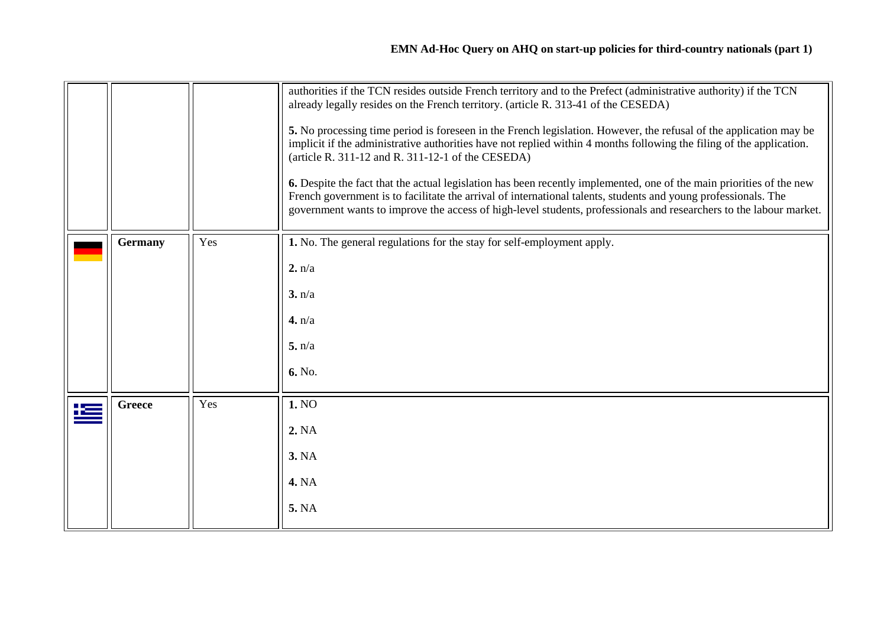<span id="page-9-1"></span><span id="page-9-0"></span>

|               |     | authorities if the TCN resides outside French territory and to the Prefect (administrative authority) if the TCN<br>already legally resides on the French territory. (article R. 313-41 of the CESEDA)<br>5. No processing time period is foreseen in the French legislation. However, the refusal of the application may be<br>implicit if the administrative authorities have not replied within 4 months following the filing of the application.<br>(article R. 311-12 and R. 311-12-1 of the CESEDA)<br>6. Despite the fact that the actual legislation has been recently implemented, one of the main priorities of the new<br>French government is to facilitate the arrival of international talents, students and young professionals. The<br>government wants to improve the access of high-level students, professionals and researchers to the labour market. |  |
|---------------|-----|---------------------------------------------------------------------------------------------------------------------------------------------------------------------------------------------------------------------------------------------------------------------------------------------------------------------------------------------------------------------------------------------------------------------------------------------------------------------------------------------------------------------------------------------------------------------------------------------------------------------------------------------------------------------------------------------------------------------------------------------------------------------------------------------------------------------------------------------------------------------------|--|
| Germany       | Yes | 1. No. The general regulations for the stay for self-employment apply.                                                                                                                                                                                                                                                                                                                                                                                                                                                                                                                                                                                                                                                                                                                                                                                                    |  |
|               |     | 2. n/a                                                                                                                                                                                                                                                                                                                                                                                                                                                                                                                                                                                                                                                                                                                                                                                                                                                                    |  |
|               |     | 3. n/a                                                                                                                                                                                                                                                                                                                                                                                                                                                                                                                                                                                                                                                                                                                                                                                                                                                                    |  |
|               |     | 4. n/a                                                                                                                                                                                                                                                                                                                                                                                                                                                                                                                                                                                                                                                                                                                                                                                                                                                                    |  |
|               |     | 5. n/a                                                                                                                                                                                                                                                                                                                                                                                                                                                                                                                                                                                                                                                                                                                                                                                                                                                                    |  |
|               |     | 6. No.                                                                                                                                                                                                                                                                                                                                                                                                                                                                                                                                                                                                                                                                                                                                                                                                                                                                    |  |
| <b>Greece</b> | Yes | 1. NO                                                                                                                                                                                                                                                                                                                                                                                                                                                                                                                                                                                                                                                                                                                                                                                                                                                                     |  |
|               |     | 2. NA                                                                                                                                                                                                                                                                                                                                                                                                                                                                                                                                                                                                                                                                                                                                                                                                                                                                     |  |
|               |     | <b>3. NA</b>                                                                                                                                                                                                                                                                                                                                                                                                                                                                                                                                                                                                                                                                                                                                                                                                                                                              |  |
|               |     | <b>4. NA</b>                                                                                                                                                                                                                                                                                                                                                                                                                                                                                                                                                                                                                                                                                                                                                                                                                                                              |  |
|               |     | 5. NA                                                                                                                                                                                                                                                                                                                                                                                                                                                                                                                                                                                                                                                                                                                                                                                                                                                                     |  |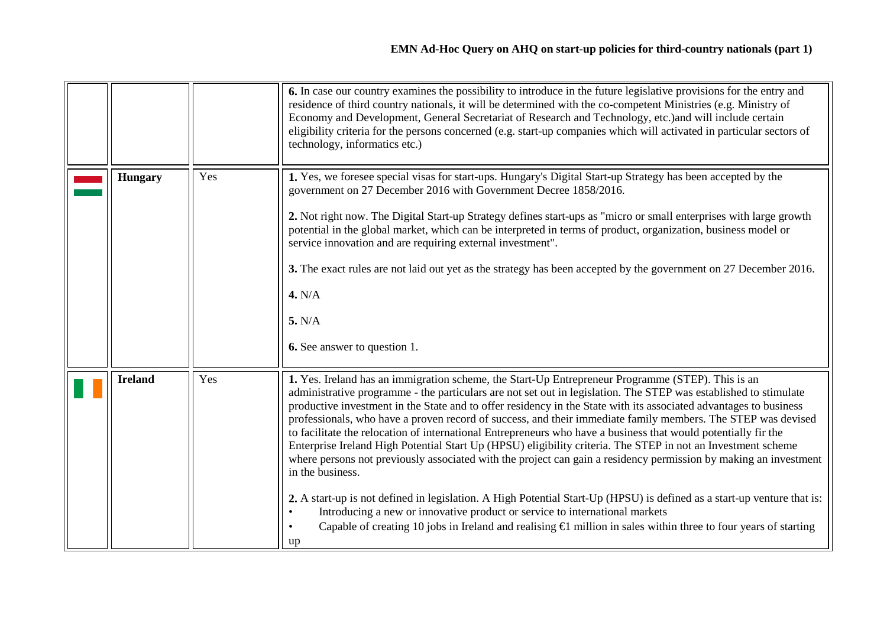<span id="page-10-1"></span><span id="page-10-0"></span>

|                |     | 6. In case our country examines the possibility to introduce in the future legislative provisions for the entry and<br>residence of third country nationals, it will be determined with the co-competent Ministries (e.g. Ministry of<br>Economy and Development, General Secretariat of Research and Technology, etc.) and will include certain<br>eligibility criteria for the persons concerned (e.g. start-up companies which will activated in particular sectors of<br>technology, informatics etc.)                                                                                                                                                                                                                                                                                                                           |  |
|----------------|-----|--------------------------------------------------------------------------------------------------------------------------------------------------------------------------------------------------------------------------------------------------------------------------------------------------------------------------------------------------------------------------------------------------------------------------------------------------------------------------------------------------------------------------------------------------------------------------------------------------------------------------------------------------------------------------------------------------------------------------------------------------------------------------------------------------------------------------------------|--|
| <b>Hungary</b> | Yes | 1. Yes, we foresee special visas for start-ups. Hungary's Digital Start-up Strategy has been accepted by the<br>government on 27 December 2016 with Government Decree 1858/2016.<br>2. Not right now. The Digital Start-up Strategy defines start-ups as "micro or small enterprises with large growth<br>potential in the global market, which can be interpreted in terms of product, organization, business model or                                                                                                                                                                                                                                                                                                                                                                                                              |  |
|                |     | service innovation and are requiring external investment".<br>3. The exact rules are not laid out yet as the strategy has been accepted by the government on 27 December 2016.<br>4. N/A<br>5. N/A                                                                                                                                                                                                                                                                                                                                                                                                                                                                                                                                                                                                                                   |  |
|                |     | <b>6.</b> See answer to question 1.                                                                                                                                                                                                                                                                                                                                                                                                                                                                                                                                                                                                                                                                                                                                                                                                  |  |
| <b>Ireland</b> | Yes | 1. Yes. Ireland has an immigration scheme, the Start-Up Entrepreneur Programme (STEP). This is an<br>administrative programme - the particulars are not set out in legislation. The STEP was established to stimulate<br>productive investment in the State and to offer residency in the State with its associated advantages to business<br>professionals, who have a proven record of success, and their immediate family members. The STEP was devised<br>to facilitate the relocation of international Entrepreneurs who have a business that would potentially fir the<br>Enterprise Ireland High Potential Start Up (HPSU) eligibility criteria. The STEP in not an Investment scheme<br>where persons not previously associated with the project can gain a residency permission by making an investment<br>in the business. |  |
|                |     | 2. A start-up is not defined in legislation. A High Potential Start-Up (HPSU) is defined as a start-up venture that is:<br>Introducing a new or innovative product or service to international markets<br>Capable of creating 10 jobs in Ireland and realising $\bigoplus$ million in sales within three to four years of starting<br>up                                                                                                                                                                                                                                                                                                                                                                                                                                                                                             |  |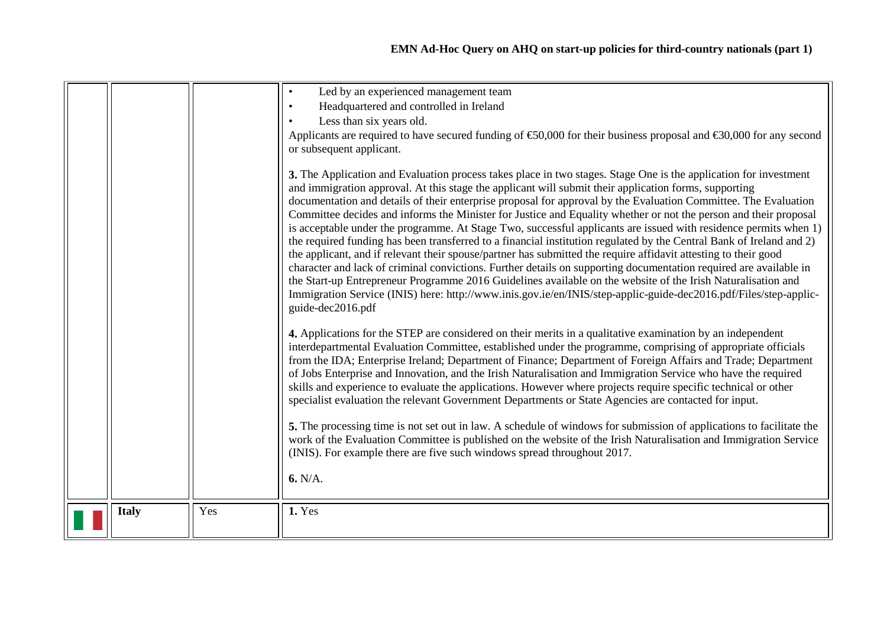|              |     | Led by an experienced management team<br>Headquartered and controlled in Ireland<br>Less than six years old.<br>Applicants are required to have secured funding of $\text{\textsterling}0,000$ for their business proposal and $\text{\textsterling}0,000$ for any second<br>or subsequent applicant.<br>3. The Application and Evaluation process takes place in two stages. Stage One is the application for investment<br>and immigration approval. At this stage the applicant will submit their application forms, supporting<br>documentation and details of their enterprise proposal for approval by the Evaluation Committee. The Evaluation<br>Committee decides and informs the Minister for Justice and Equality whether or not the person and their proposal<br>is acceptable under the programme. At Stage Two, successful applicants are issued with residence permits when 1)<br>the required funding has been transferred to a financial institution regulated by the Central Bank of Ireland and 2)<br>the applicant, and if relevant their spouse/partner has submitted the require affidavit attesting to their good<br>character and lack of criminal convictions. Further details on supporting documentation required are available in<br>the Start-up Entrepreneur Programme 2016 Guidelines available on the website of the Irish Naturalisation and |  |
|--------------|-----|-------------------------------------------------------------------------------------------------------------------------------------------------------------------------------------------------------------------------------------------------------------------------------------------------------------------------------------------------------------------------------------------------------------------------------------------------------------------------------------------------------------------------------------------------------------------------------------------------------------------------------------------------------------------------------------------------------------------------------------------------------------------------------------------------------------------------------------------------------------------------------------------------------------------------------------------------------------------------------------------------------------------------------------------------------------------------------------------------------------------------------------------------------------------------------------------------------------------------------------------------------------------------------------------------------------------------------------------------------------------------------|--|
|              |     | Immigration Service (INIS) here: http://www.inis.gov.ie/en/INIS/step-applic-guide-dec2016.pdf/Files/step-applic-<br>guide-dec2016.pdf<br>4. Applications for the STEP are considered on their merits in a qualitative examination by an independent<br>interdepartmental Evaluation Committee, established under the programme, comprising of appropriate officials<br>from the IDA; Enterprise Ireland; Department of Finance; Department of Foreign Affairs and Trade; Department<br>of Jobs Enterprise and Innovation, and the Irish Naturalisation and Immigration Service who have the required<br>skills and experience to evaluate the applications. However where projects require specific technical or other<br>specialist evaluation the relevant Government Departments or State Agencies are contacted for input.<br>5. The processing time is not set out in law. A schedule of windows for submission of applications to facilitate the<br>work of the Evaluation Committee is published on the website of the Irish Naturalisation and Immigration Service<br>(INIS). For example there are five such windows spread throughout 2017.<br>6. N/A.                                                                                                                                                                                                              |  |
| <b>Italy</b> | Yes | 1. Yes                                                                                                                                                                                                                                                                                                                                                                                                                                                                                                                                                                                                                                                                                                                                                                                                                                                                                                                                                                                                                                                                                                                                                                                                                                                                                                                                                                        |  |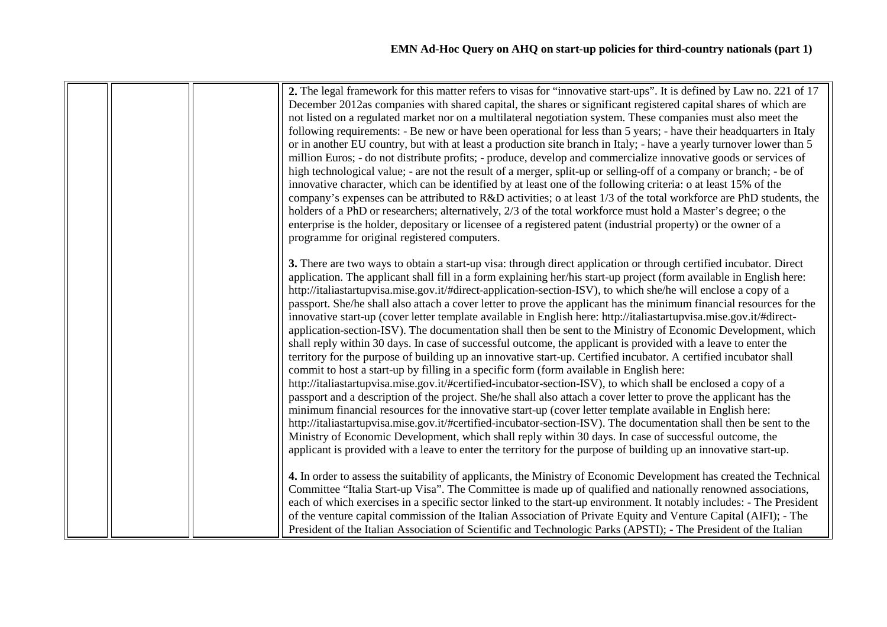|  | 2. The legal framework for this matter refers to visas for "innovative start-ups". It is defined by Law no. 221 of 17<br>December 2012as companies with shared capital, the shares or significant registered capital shares of which are<br>not listed on a regulated market nor on a multilateral negotiation system. These companies must also meet the<br>following requirements: - Be new or have been operational for less than 5 years; - have their headquarters in Italy<br>or in another EU country, but with at least a production site branch in Italy; - have a yearly turnover lower than 5<br>million Euros; - do not distribute profits; - produce, develop and commercialize innovative goods or services of<br>high technological value; - are not the result of a merger, split-up or selling-off of a company or branch; - be of<br>innovative character, which can be identified by at least one of the following criteria: o at least 15% of the<br>company's expenses can be attributed to R&D activities; o at least 1/3 of the total workforce are PhD students, the<br>holders of a PhD or researchers; alternatively, 2/3 of the total workforce must hold a Master's degree; o the<br>enterprise is the holder, depositary or licensee of a registered patent (industrial property) or the owner of a                                                                                                                                                                                                                                                                                                                                                                                                                                                                                          |  |
|--|---------------------------------------------------------------------------------------------------------------------------------------------------------------------------------------------------------------------------------------------------------------------------------------------------------------------------------------------------------------------------------------------------------------------------------------------------------------------------------------------------------------------------------------------------------------------------------------------------------------------------------------------------------------------------------------------------------------------------------------------------------------------------------------------------------------------------------------------------------------------------------------------------------------------------------------------------------------------------------------------------------------------------------------------------------------------------------------------------------------------------------------------------------------------------------------------------------------------------------------------------------------------------------------------------------------------------------------------------------------------------------------------------------------------------------------------------------------------------------------------------------------------------------------------------------------------------------------------------------------------------------------------------------------------------------------------------------------------------------------------------------------------------------------------------------------------------|--|
|  | programme for original registered computers.<br>3. There are two ways to obtain a start-up visa: through direct application or through certified incubator. Direct<br>application. The applicant shall fill in a form explaining her/his start-up project (form available in English here:<br>http://italiastartupvisa.mise.gov.it/#direct-application-section-ISV), to which she/he will enclose a copy of a<br>passport. She/he shall also attach a cover letter to prove the applicant has the minimum financial resources for the<br>innovative start-up (cover letter template available in English here: http://italiastartupvisa.mise.gov.it/#direct-<br>application-section-ISV). The documentation shall then be sent to the Ministry of Economic Development, which<br>shall reply within 30 days. In case of successful outcome, the applicant is provided with a leave to enter the<br>territory for the purpose of building up an innovative start-up. Certified incubator. A certified incubator shall<br>commit to host a start-up by filling in a specific form (form available in English here:<br>http://italiastartupvisa.mise.gov.it/#certified-incubator-section-ISV), to which shall be enclosed a copy of a<br>passport and a description of the project. She/he shall also attach a cover letter to prove the applicant has the<br>minimum financial resources for the innovative start-up (cover letter template available in English here:<br>http://italiastartupvisa.mise.gov.it/#certified-incubator-section-ISV). The documentation shall then be sent to the<br>Ministry of Economic Development, which shall reply within 30 days. In case of successful outcome, the<br>applicant is provided with a leave to enter the territory for the purpose of building up an innovative start-up. |  |
|  | 4. In order to assess the suitability of applicants, the Ministry of Economic Development has created the Technical<br>Committee "Italia Start-up Visa". The Committee is made up of qualified and nationally renowned associations,<br>each of which exercises in a specific sector linked to the start-up environment. It notably includes: - The President<br>of the venture capital commission of the Italian Association of Private Equity and Venture Capital (AIFI); - The<br>President of the Italian Association of Scientific and Technologic Parks (APSTI); - The President of the Italian                                                                                                                                                                                                                                                                                                                                                                                                                                                                                                                                                                                                                                                                                                                                                                                                                                                                                                                                                                                                                                                                                                                                                                                                                     |  |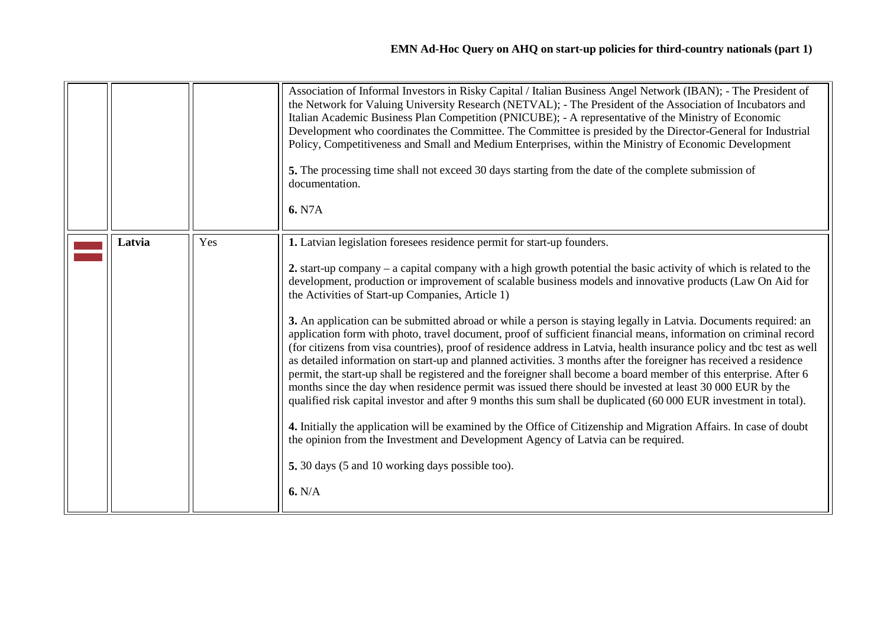<span id="page-13-0"></span>

|        |     | Association of Informal Investors in Risky Capital / Italian Business Angel Network (IBAN); - The President of<br>the Network for Valuing University Research (NETVAL); - The President of the Association of Incubators and<br>Italian Academic Business Plan Competition (PNICUBE); - A representative of the Ministry of Economic<br>Development who coordinates the Committee. The Committee is presided by the Director-General for Industrial<br>Policy, Competitiveness and Small and Medium Enterprises, within the Ministry of Economic Development<br>5. The processing time shall not exceed 30 days starting from the date of the complete submission of<br>documentation.<br>6. N7A                                                                                                                                                                                                                                                                                                                                                                                                                                                                                                                                                                                                                                                                                                                                                                                         |
|--------|-----|------------------------------------------------------------------------------------------------------------------------------------------------------------------------------------------------------------------------------------------------------------------------------------------------------------------------------------------------------------------------------------------------------------------------------------------------------------------------------------------------------------------------------------------------------------------------------------------------------------------------------------------------------------------------------------------------------------------------------------------------------------------------------------------------------------------------------------------------------------------------------------------------------------------------------------------------------------------------------------------------------------------------------------------------------------------------------------------------------------------------------------------------------------------------------------------------------------------------------------------------------------------------------------------------------------------------------------------------------------------------------------------------------------------------------------------------------------------------------------------|
| Latvia | Yes | 1. Latvian legislation foresees residence permit for start-up founders.<br>2. start-up company – a capital company with a high growth potential the basic activity of which is related to the<br>development, production or improvement of scalable business models and innovative products (Law On Aid for<br>the Activities of Start-up Companies, Article 1)<br>3. An application can be submitted abroad or while a person is staying legally in Latvia. Documents required: an<br>application form with photo, travel document, proof of sufficient financial means, information on criminal record<br>(for citizens from visa countries), proof of residence address in Latvia, health insurance policy and tbc test as well<br>as detailed information on start-up and planned activities. 3 months after the foreigner has received a residence<br>permit, the start-up shall be registered and the foreigner shall become a board member of this enterprise. After 6<br>months since the day when residence permit was issued there should be invested at least 30 000 EUR by the<br>qualified risk capital investor and after 9 months this sum shall be duplicated (60 000 EUR investment in total).<br>4. Initially the application will be examined by the Office of Citizenship and Migration Affairs. In case of doubt<br>the opinion from the Investment and Development Agency of Latvia can be required.<br>5. 30 days (5 and 10 working days possible too).<br>6. N/A |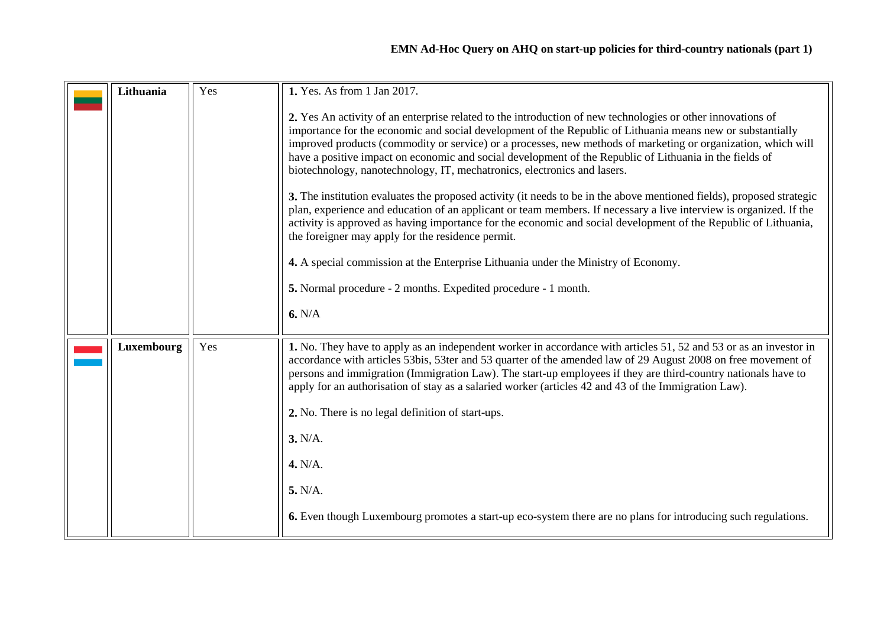### **EMN Ad-Hoc Query on AHQ on start-up policies for third-country nationals (part 1)**

<span id="page-14-0"></span>

| Lithuania  | Yes | 1. Yes. As from 1 Jan 2017.                                                                                                                                                                                                                                                                                                                                                                                                                                                                                                       |
|------------|-----|-----------------------------------------------------------------------------------------------------------------------------------------------------------------------------------------------------------------------------------------------------------------------------------------------------------------------------------------------------------------------------------------------------------------------------------------------------------------------------------------------------------------------------------|
|            |     | 2. Yes An activity of an enterprise related to the introduction of new technologies or other innovations of<br>importance for the economic and social development of the Republic of Lithuania means new or substantially<br>improved products (commodity or service) or a processes, new methods of marketing or organization, which will<br>have a positive impact on economic and social development of the Republic of Lithuania in the fields of<br>biotechnology, nanotechnology, IT, mechatronics, electronics and lasers. |
|            |     | 3. The institution evaluates the proposed activity (it needs to be in the above mentioned fields), proposed strategic<br>plan, experience and education of an applicant or team members. If necessary a live interview is organized. If the<br>activity is approved as having importance for the economic and social development of the Republic of Lithuania,<br>the foreigner may apply for the residence permit.                                                                                                               |
|            |     | 4. A special commission at the Enterprise Lithuania under the Ministry of Economy.                                                                                                                                                                                                                                                                                                                                                                                                                                                |
|            |     | 5. Normal procedure - 2 months. Expedited procedure - 1 month.                                                                                                                                                                                                                                                                                                                                                                                                                                                                    |
|            |     | 6. N/A                                                                                                                                                                                                                                                                                                                                                                                                                                                                                                                            |
| Luxembourg | Yes | 1. No. They have to apply as an independent worker in accordance with articles 51, 52 and 53 or as an investor in<br>accordance with articles 53bis, 53ter and 53 quarter of the amended law of 29 August 2008 on free movement of<br>persons and immigration (Immigration Law). The start-up employees if they are third-country nationals have to<br>apply for an authorisation of stay as a salaried worker (articles 42 and 43 of the Immigration Law).                                                                       |
|            |     | 2. No. There is no legal definition of start-ups.                                                                                                                                                                                                                                                                                                                                                                                                                                                                                 |
|            |     | 3. N/A.                                                                                                                                                                                                                                                                                                                                                                                                                                                                                                                           |
|            |     | 4. N/A.                                                                                                                                                                                                                                                                                                                                                                                                                                                                                                                           |
|            |     | 5. N/A.                                                                                                                                                                                                                                                                                                                                                                                                                                                                                                                           |
|            |     | <b>6.</b> Even though Luxembourg promotes a start-up eco-system there are no plans for introducing such regulations.                                                                                                                                                                                                                                                                                                                                                                                                              |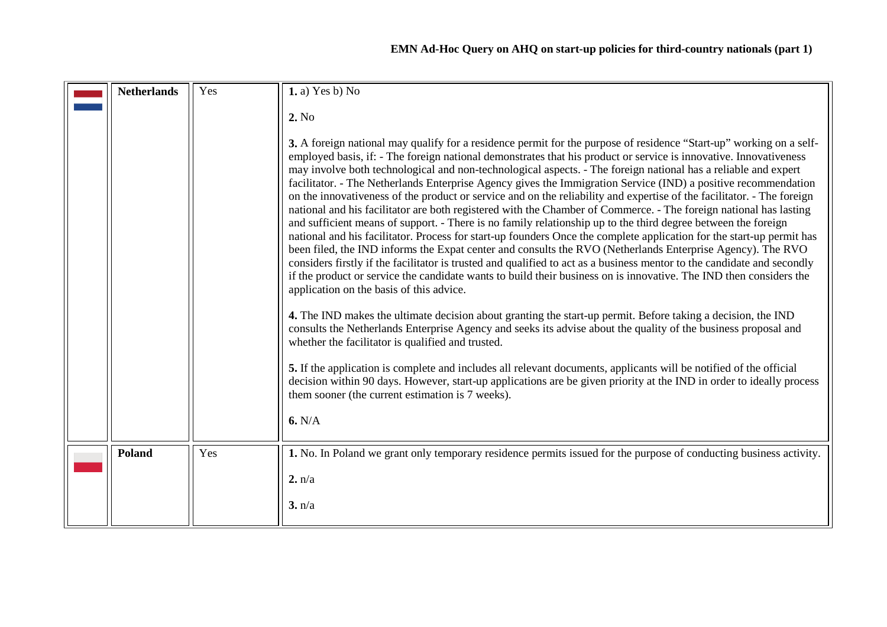<span id="page-15-1"></span><span id="page-15-0"></span>

| <b>Netherlands</b> | Yes | 1. a) Yes b) No                                                                                                                                                                                                                                                                                                                                                                                                                                                                                                                                                                                                                                                                                                                                                                                                                                                                                                                                                                |
|--------------------|-----|--------------------------------------------------------------------------------------------------------------------------------------------------------------------------------------------------------------------------------------------------------------------------------------------------------------------------------------------------------------------------------------------------------------------------------------------------------------------------------------------------------------------------------------------------------------------------------------------------------------------------------------------------------------------------------------------------------------------------------------------------------------------------------------------------------------------------------------------------------------------------------------------------------------------------------------------------------------------------------|
|                    |     | 2. No<br>3. A foreign national may qualify for a residence permit for the purpose of residence "Start-up" working on a self-<br>employed basis, if: - The foreign national demonstrates that his product or service is innovative. Innovativeness<br>may involve both technological and non-technological aspects. - The foreign national has a reliable and expert<br>facilitator. - The Netherlands Enterprise Agency gives the Immigration Service (IND) a positive recommendation<br>on the innovativeness of the product or service and on the reliability and expertise of the facilitator. - The foreign<br>national and his facilitator are both registered with the Chamber of Commerce. - The foreign national has lasting<br>and sufficient means of support. - There is no family relationship up to the third degree between the foreign<br>national and his facilitator. Process for start-up founders Once the complete application for the start-up permit has |
|                    |     | been filed, the IND informs the Expat center and consults the RVO (Netherlands Enterprise Agency). The RVO<br>considers firstly if the facilitator is trusted and qualified to act as a business mentor to the candidate and secondly<br>if the product or service the candidate wants to build their business on is innovative. The IND then considers the<br>application on the basis of this advice.<br>4. The IND makes the ultimate decision about granting the start-up permit. Before taking a decision, the IND<br>consults the Netherlands Enterprise Agency and seeks its advise about the quality of the business proposal and                                                                                                                                                                                                                                                                                                                                      |
|                    |     | whether the facilitator is qualified and trusted.<br>5. If the application is complete and includes all relevant documents, applicants will be notified of the official<br>decision within 90 days. However, start-up applications are be given priority at the IND in order to ideally process<br>them sooner (the current estimation is 7 weeks).                                                                                                                                                                                                                                                                                                                                                                                                                                                                                                                                                                                                                            |
|                    |     | 6. N/A                                                                                                                                                                                                                                                                                                                                                                                                                                                                                                                                                                                                                                                                                                                                                                                                                                                                                                                                                                         |
| <b>Poland</b>      | Yes | 1. No. In Poland we grant only temporary residence permits issued for the purpose of conducting business activity.                                                                                                                                                                                                                                                                                                                                                                                                                                                                                                                                                                                                                                                                                                                                                                                                                                                             |
|                    |     | 2. n/a                                                                                                                                                                                                                                                                                                                                                                                                                                                                                                                                                                                                                                                                                                                                                                                                                                                                                                                                                                         |
|                    |     | 3. n/a                                                                                                                                                                                                                                                                                                                                                                                                                                                                                                                                                                                                                                                                                                                                                                                                                                                                                                                                                                         |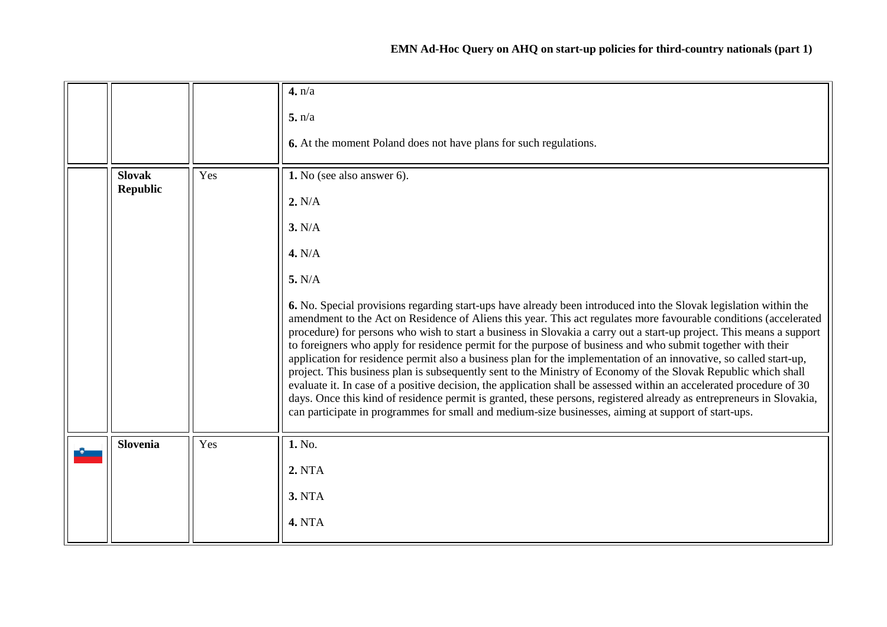<span id="page-16-1"></span><span id="page-16-0"></span>

|                                  |     | 4. n/a<br>5. n/a<br>6. At the moment Poland does not have plans for such regulations.                                                                                                                                                                                                                                                                                                                                                                                                                                                                                                                                                                                                                                                                                                                                                                                                                                                                                                                                                                                                                                                              |
|----------------------------------|-----|----------------------------------------------------------------------------------------------------------------------------------------------------------------------------------------------------------------------------------------------------------------------------------------------------------------------------------------------------------------------------------------------------------------------------------------------------------------------------------------------------------------------------------------------------------------------------------------------------------------------------------------------------------------------------------------------------------------------------------------------------------------------------------------------------------------------------------------------------------------------------------------------------------------------------------------------------------------------------------------------------------------------------------------------------------------------------------------------------------------------------------------------------|
| <b>Slovak</b><br><b>Republic</b> | Yes | 1. No (see also answer 6).<br>2. N/A<br>3. N/A<br>4. N/A<br>5. N/A<br>6. No. Special provisions regarding start-ups have already been introduced into the Slovak legislation within the<br>amendment to the Act on Residence of Aliens this year. This act regulates more favourable conditions (accelerated<br>procedure) for persons who wish to start a business in Slovakia a carry out a start-up project. This means a support<br>to foreigners who apply for residence permit for the purpose of business and who submit together with their<br>application for residence permit also a business plan for the implementation of an innovative, so called start-up,<br>project. This business plan is subsequently sent to the Ministry of Economy of the Slovak Republic which shall<br>evaluate it. In case of a positive decision, the application shall be assessed within an accelerated procedure of 30<br>days. Once this kind of residence permit is granted, these persons, registered already as entrepreneurs in Slovakia,<br>can participate in programmes for small and medium-size businesses, aiming at support of start-ups. |
| <b>Slovenia</b>                  | Yes | 1. No.<br>2. NTA<br><b>3. NTA</b><br><b>4. NTA</b>                                                                                                                                                                                                                                                                                                                                                                                                                                                                                                                                                                                                                                                                                                                                                                                                                                                                                                                                                                                                                                                                                                 |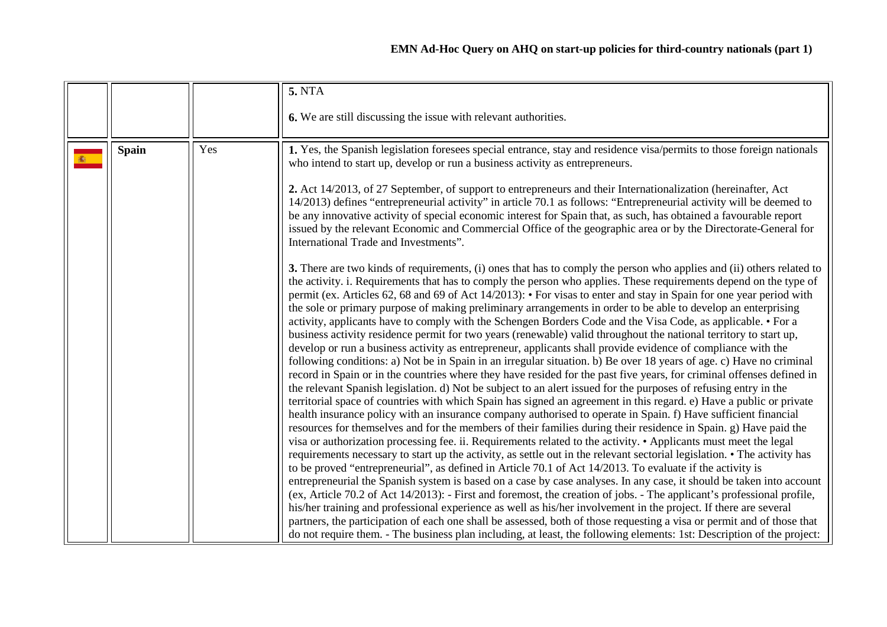<span id="page-17-0"></span>

|              |     | <b>5. NTA</b>                                                                                                                                                                                                                                                                                                                                                                                                                                                                                                                                                                                                                                                                                                                                                                                                                                                                                                                                                                                                                                                                                                                                                                                                                                                                                                                                                                                                                                                                                                                                                                                                                                                                                                                                                                                                                                                                                                                                                                                                                                                                                                                                                                                                                                                                                                                                                                                                                                                                                                                                                                                                                                                             |
|--------------|-----|---------------------------------------------------------------------------------------------------------------------------------------------------------------------------------------------------------------------------------------------------------------------------------------------------------------------------------------------------------------------------------------------------------------------------------------------------------------------------------------------------------------------------------------------------------------------------------------------------------------------------------------------------------------------------------------------------------------------------------------------------------------------------------------------------------------------------------------------------------------------------------------------------------------------------------------------------------------------------------------------------------------------------------------------------------------------------------------------------------------------------------------------------------------------------------------------------------------------------------------------------------------------------------------------------------------------------------------------------------------------------------------------------------------------------------------------------------------------------------------------------------------------------------------------------------------------------------------------------------------------------------------------------------------------------------------------------------------------------------------------------------------------------------------------------------------------------------------------------------------------------------------------------------------------------------------------------------------------------------------------------------------------------------------------------------------------------------------------------------------------------------------------------------------------------------------------------------------------------------------------------------------------------------------------------------------------------------------------------------------------------------------------------------------------------------------------------------------------------------------------------------------------------------------------------------------------------------------------------------------------------------------------------------------------------|
|              |     | 6. We are still discussing the issue with relevant authorities.                                                                                                                                                                                                                                                                                                                                                                                                                                                                                                                                                                                                                                                                                                                                                                                                                                                                                                                                                                                                                                                                                                                                                                                                                                                                                                                                                                                                                                                                                                                                                                                                                                                                                                                                                                                                                                                                                                                                                                                                                                                                                                                                                                                                                                                                                                                                                                                                                                                                                                                                                                                                           |
| <b>Spain</b> | Yes | 1. Yes, the Spanish legislation foresees special entrance, stay and residence visa/permits to those foreign nationals<br>who intend to start up, develop or run a business activity as entrepreneurs.<br>2. Act 14/2013, of 27 September, of support to entrepreneurs and their Internationalization (hereinafter, Act<br>14/2013) defines "entrepreneurial activity" in article 70.1 as follows: "Entrepreneurial activity will be deemed to<br>be any innovative activity of special economic interest for Spain that, as such, has obtained a favourable report<br>issued by the relevant Economic and Commercial Office of the geographic area or by the Directorate-General for<br>International Trade and Investments".<br>3. There are two kinds of requirements, (i) ones that has to comply the person who applies and (ii) others related to<br>the activity. i. Requirements that has to comply the person who applies. These requirements depend on the type of<br>permit (ex. Articles 62, 68 and 69 of Act 14/2013): • For visas to enter and stay in Spain for one year period with<br>the sole or primary purpose of making preliminary arrangements in order to be able to develop an enterprising<br>activity, applicants have to comply with the Schengen Borders Code and the Visa Code, as applicable. • For a<br>business activity residence permit for two years (renewable) valid throughout the national territory to start up,<br>develop or run a business activity as entrepreneur, applicants shall provide evidence of compliance with the<br>following conditions: a) Not be in Spain in an irregular situation. b) Be over 18 years of age. c) Have no criminal<br>record in Spain or in the countries where they have resided for the past five years, for criminal offenses defined in<br>the relevant Spanish legislation. d) Not be subject to an alert issued for the purposes of refusing entry in the<br>territorial space of countries with which Spain has signed an agreement in this regard. e) Have a public or private<br>health insurance policy with an insurance company authorised to operate in Spain. f) Have sufficient financial<br>resources for themselves and for the members of their families during their residence in Spain. g) Have paid the<br>visa or authorization processing fee. ii. Requirements related to the activity. • Applicants must meet the legal<br>requirements necessary to start up the activity, as settle out in the relevant sectorial legislation. • The activity has<br>to be proved "entrepreneurial", as defined in Article 70.1 of Act $14/2013$ . To evaluate if the activity is |
|              |     | entrepreneurial the Spanish system is based on a case by case analyses. In any case, it should be taken into account<br>(ex, Article 70.2 of Act 14/2013): - First and foremost, the creation of jobs. - The applicant's professional profile,<br>his/her training and professional experience as well as his/her involvement in the project. If there are several<br>partners, the participation of each one shall be assessed, both of those requesting a visa or permit and of those that<br>do not require them. - The business plan including, at least, the following elements: 1st: Description of the project:                                                                                                                                                                                                                                                                                                                                                                                                                                                                                                                                                                                                                                                                                                                                                                                                                                                                                                                                                                                                                                                                                                                                                                                                                                                                                                                                                                                                                                                                                                                                                                                                                                                                                                                                                                                                                                                                                                                                                                                                                                                    |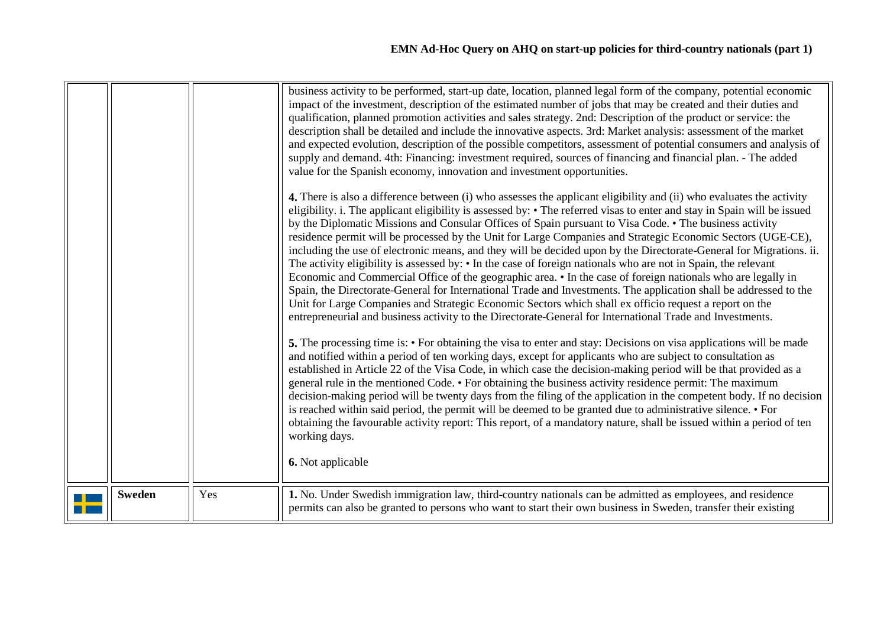|               |     | business activity to be performed, start-up date, location, planned legal form of the company, potential economic<br>impact of the investment, description of the estimated number of jobs that may be created and their duties and<br>qualification, planned promotion activities and sales strategy. 2nd: Description of the product or service: the<br>description shall be detailed and include the innovative aspects. 3rd: Market analysis: assessment of the market<br>and expected evolution, description of the possible competitors, assessment of potential consumers and analysis of<br>supply and demand. 4th: Financing: investment required, sources of financing and financial plan. - The added<br>value for the Spanish economy, innovation and investment opportunities.                                                                                                                                                                                                                                                                                                                                                                                     |
|---------------|-----|---------------------------------------------------------------------------------------------------------------------------------------------------------------------------------------------------------------------------------------------------------------------------------------------------------------------------------------------------------------------------------------------------------------------------------------------------------------------------------------------------------------------------------------------------------------------------------------------------------------------------------------------------------------------------------------------------------------------------------------------------------------------------------------------------------------------------------------------------------------------------------------------------------------------------------------------------------------------------------------------------------------------------------------------------------------------------------------------------------------------------------------------------------------------------------|
|               |     | 4. There is also a difference between (i) who assesses the applicant eligibility and (ii) who evaluates the activity<br>eligibility. i. The applicant eligibility is assessed by: • The referred visas to enter and stay in Spain will be issued<br>by the Diplomatic Missions and Consular Offices of Spain pursuant to Visa Code. • The business activity<br>residence permit will be processed by the Unit for Large Companies and Strategic Economic Sectors (UGE-CE),<br>including the use of electronic means, and they will be decided upon by the Directorate-General for Migrations. ii.<br>The activity eligibility is assessed by: • In the case of foreign nationals who are not in Spain, the relevant<br>Economic and Commercial Office of the geographic area. • In the case of foreign nationals who are legally in<br>Spain, the Directorate-General for International Trade and Investments. The application shall be addressed to the<br>Unit for Large Companies and Strategic Economic Sectors which shall ex officio request a report on the<br>entrepreneurial and business activity to the Directorate-General for International Trade and Investments. |
|               |     | <b>5.</b> The processing time is: • For obtaining the visa to enter and stay: Decisions on visa applications will be made<br>and notified within a period of ten working days, except for applicants who are subject to consultation as<br>established in Article 22 of the Visa Code, in which case the decision-making period will be that provided as a<br>general rule in the mentioned Code. • For obtaining the business activity residence permit: The maximum<br>decision-making period will be twenty days from the filing of the application in the competent body. If no decision<br>is reached within said period, the permit will be deemed to be granted due to administrative silence. • For<br>obtaining the favourable activity report: This report, of a mandatory nature, shall be issued within a period of ten<br>working days.<br>6. Not applicable                                                                                                                                                                                                                                                                                                       |
| <b>Sweden</b> | Yes | 1. No. Under Swedish immigration law, third-country nationals can be admitted as employees, and residence<br>permits can also be granted to persons who want to start their own business in Sweden, transfer their existing                                                                                                                                                                                                                                                                                                                                                                                                                                                                                                                                                                                                                                                                                                                                                                                                                                                                                                                                                     |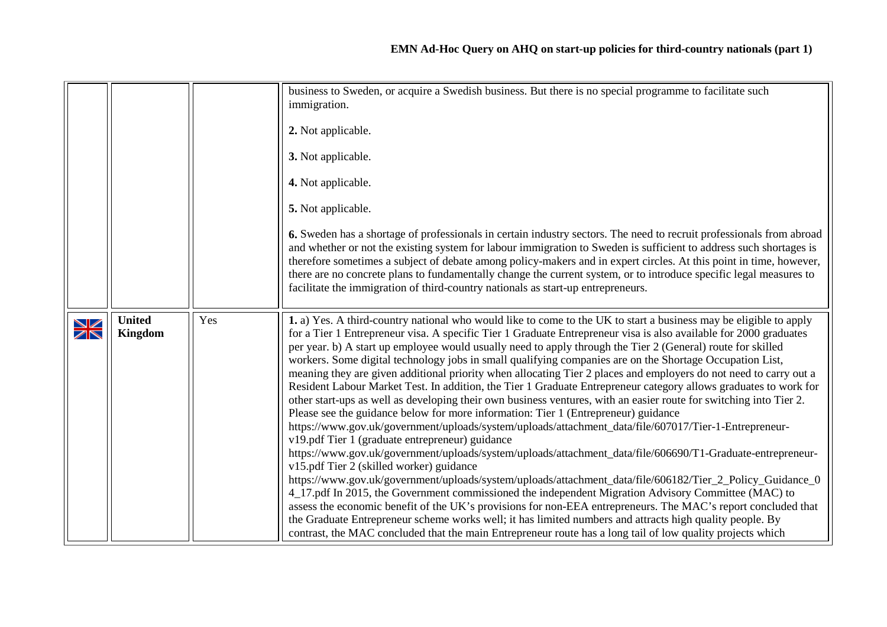<span id="page-19-0"></span>

|                               |                          |     | business to Sweden, or acquire a Swedish business. But there is no special programme to facilitate such<br>immigration.<br>2. Not applicable.<br>3. Not applicable.<br>4. Not applicable.<br>5. Not applicable.<br>6. Sweden has a shortage of professionals in certain industry sectors. The need to recruit professionals from abroad<br>and whether or not the existing system for labour immigration to Sweden is sufficient to address such shortages is<br>therefore sometimes a subject of debate among policy-makers and in expert circles. At this point in time, however,<br>there are no concrete plans to fundamentally change the current system, or to introduce specific legal measures to<br>facilitate the immigration of third-country nationals as start-up entrepreneurs.                                                                                                                                                                                                                                                                                                                                                                                                                                                                                                                                                                                                                                                                                                                                                                                                                                                                                                                                                                                                               |
|-------------------------------|--------------------------|-----|-------------------------------------------------------------------------------------------------------------------------------------------------------------------------------------------------------------------------------------------------------------------------------------------------------------------------------------------------------------------------------------------------------------------------------------------------------------------------------------------------------------------------------------------------------------------------------------------------------------------------------------------------------------------------------------------------------------------------------------------------------------------------------------------------------------------------------------------------------------------------------------------------------------------------------------------------------------------------------------------------------------------------------------------------------------------------------------------------------------------------------------------------------------------------------------------------------------------------------------------------------------------------------------------------------------------------------------------------------------------------------------------------------------------------------------------------------------------------------------------------------------------------------------------------------------------------------------------------------------------------------------------------------------------------------------------------------------------------------------------------------------------------------------------------------------|
| ↘∠<br>$\overline{\mathbb{Z}}$ | <b>United</b><br>Kingdom | Yes | 1. a) Yes. A third-country national who would like to come to the UK to start a business may be eligible to apply<br>for a Tier 1 Entrepreneur visa. A specific Tier 1 Graduate Entrepreneur visa is also available for 2000 graduates<br>per year. b) A start up employee would usually need to apply through the Tier 2 (General) route for skilled<br>workers. Some digital technology jobs in small qualifying companies are on the Shortage Occupation List,<br>meaning they are given additional priority when allocating Tier 2 places and employers do not need to carry out a<br>Resident Labour Market Test. In addition, the Tier 1 Graduate Entrepreneur category allows graduates to work for<br>other start-ups as well as developing their own business ventures, with an easier route for switching into Tier 2.<br>Please see the guidance below for more information: Tier 1 (Entrepreneur) guidance<br>https://www.gov.uk/government/uploads/system/uploads/attachment_data/file/607017/Tier-1-Entrepreneur-<br>v19.pdf Tier 1 (graduate entrepreneur) guidance<br>https://www.gov.uk/government/uploads/system/uploads/attachment_data/file/606690/T1-Graduate-entrepreneur-<br>v15.pdf Tier 2 (skilled worker) guidance<br>https://www.gov.uk/government/uploads/system/uploads/attachment_data/file/606182/Tier_2_Policy_Guidance_0<br>4_17.pdf In 2015, the Government commissioned the independent Migration Advisory Committee (MAC) to<br>assess the economic benefit of the UK's provisions for non-EEA entrepreneurs. The MAC's report concluded that<br>the Graduate Entrepreneur scheme works well; it has limited numbers and attracts high quality people. By<br>contrast, the MAC concluded that the main Entrepreneur route has a long tail of low quality projects which |